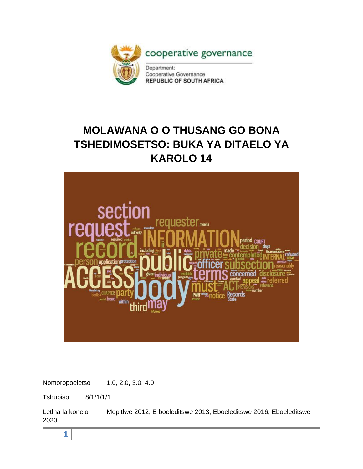

# **MOLAWANA O O THUSANG GO BONA TSHEDIMOSETSO: BUKA YA DITAELO YA KAROLO 14**



Nomoropoeletso 1.0, 2.0, 3.0, 4.0

Tshupiso 8/1/1/1/1

Letlha la konelo Mopitlwe 2012, E boeleditswe 2013, Eboeleditswe 2016, Eboeleditswe 2020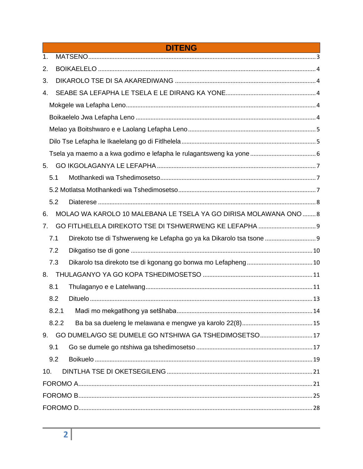|                | <b>DITENG</b>                                                     |  |  |  |  |  |
|----------------|-------------------------------------------------------------------|--|--|--|--|--|
| $\mathbf{1}$ . |                                                                   |  |  |  |  |  |
| 2.             |                                                                   |  |  |  |  |  |
| 3.             |                                                                   |  |  |  |  |  |
| 4.             |                                                                   |  |  |  |  |  |
|                |                                                                   |  |  |  |  |  |
|                |                                                                   |  |  |  |  |  |
|                |                                                                   |  |  |  |  |  |
|                |                                                                   |  |  |  |  |  |
|                |                                                                   |  |  |  |  |  |
| 5.             |                                                                   |  |  |  |  |  |
| 5.1            |                                                                   |  |  |  |  |  |
|                |                                                                   |  |  |  |  |  |
| 5.2            |                                                                   |  |  |  |  |  |
| 6.             | MOLAO WA KAROLO 10 MALEBANA LE TSELA YA GO DIRISA MOLAWANA ONO  8 |  |  |  |  |  |
| 7.             |                                                                   |  |  |  |  |  |
| 7.1            |                                                                   |  |  |  |  |  |
| 7.2            |                                                                   |  |  |  |  |  |
| 7.3            |                                                                   |  |  |  |  |  |
| 8.             |                                                                   |  |  |  |  |  |
| 8.1            |                                                                   |  |  |  |  |  |
| 8.2            |                                                                   |  |  |  |  |  |
|                |                                                                   |  |  |  |  |  |
| 8.2.2          |                                                                   |  |  |  |  |  |
| 9.             | GO DUMELA/GO SE DUMELE GO NTSHIWA GA TSHEDIMOSETSO 17             |  |  |  |  |  |
| 9.1            |                                                                   |  |  |  |  |  |
| 9.2            |                                                                   |  |  |  |  |  |
| 10.            |                                                                   |  |  |  |  |  |
|                |                                                                   |  |  |  |  |  |
|                |                                                                   |  |  |  |  |  |
|                |                                                                   |  |  |  |  |  |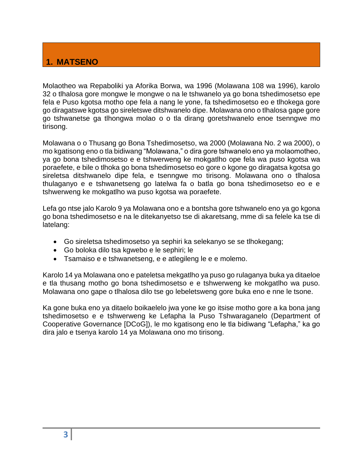# **1. MATSENO**

Molaotheo wa Repaboliki ya Aforika Borwa, wa 1996 (Molawana 108 wa 1996), karolo 32 o tlhalosa gore mongwe le mongwe o na le tshwanelo ya go bona tshedimosetso epe fela e Puso kgotsa motho ope fela a nang le yone, fa tshedimosetso eo e tlhokega gore go diragatswe kgotsa go sireletswe ditshwanelo dipe. Molawana ono o tlhalosa gape gore go tshwanetse ga tlhongwa molao o o tla dirang goretshwanelo enoe tsenngwe mo tirisong.

Molawana o o Thusang go Bona Tshedimosetso, wa 2000 (Molawana No. 2 wa 2000), o mo kgatisong eno o tla bidiwang "Molawana," o dira gore tshwanelo eno ya molaomotheo, ya go bona tshedimosetso e e tshwerweng ke mokgatlho ope fela wa puso kgotsa wa poraefete, e bile o tlhoka go bona tshedimosetso eo gore o kgone go diragatsa kgotsa go sireletsa ditshwanelo dipe fela, e tsenngwe mo tirisong. Molawana ono o tlhalosa thulaganyo e e tshwanetseng go latelwa fa o batla go bona tshedimosetso eo e e tshwerweng ke mokgatlho wa puso kgotsa wa poraefete.

Lefa go ntse jalo Karolo 9 ya Molawana ono e a bontsha gore tshwanelo eno ya go kgona go bona tshedimosetso e na le ditekanyetso tse di akaretsang, mme di sa felele ka tse di latelang:

- Go sireletsa tshedimosetso ya sephiri ka selekanyo se se tlhokegang;
- Go boloka dilo tsa kgwebo e le sephiri; le
- Tsamaiso e e tshwanetseng, e e atlegileng le e e molemo.

Karolo 14 ya Molawana ono e pateletsa mekgatlho ya puso go rulaganya buka ya ditaeloe e tla thusang motho go bona tshedimosetso e e tshwerweng ke mokgatlho wa puso. Molawana ono gape o tlhalosa dilo tse go lebeletsweng gore buka eno e nne le tsone.

Ka gone buka eno ya ditaelo boikaelelo jwa yone ke go itsise motho gore a ka bona jang tshedimosetso e e tshwerweng ke Lefapha la Puso Tshwaraganelo (Department of Cooperative Governance [DCoG]), le mo kgatisong eno le tla bidiwang "Lefapha," ka go dira jalo e tsenya karolo 14 ya Molawana ono mo tirisong.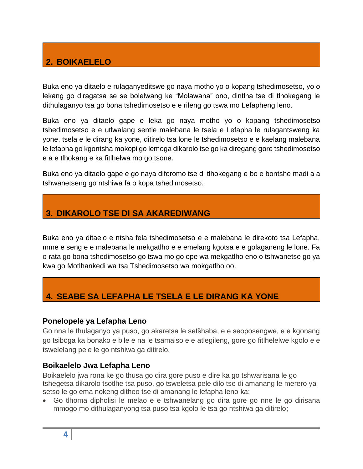# **2. BOIKAELELO**

Buka eno ya ditaelo e rulaganyeditswe go naya motho yo o kopang tshedimosetso, yo o lekang go diragatsa se se bolelwang ke "Molawana" ono, dintlha tse di tlhokegang le dithulaganyo tsa go bona tshedimosetso e e rileng go tswa mo Lefapheng leno.

Buka eno ya ditaelo gape e leka go naya motho yo o kopang tshedimosetso tshedimosetso e e utlwalang sentle malebana le tsela e Lefapha le rulagantsweng ka yone, tsela e le dirang ka yone, ditirelo tsa lone le tshedimosetso e e kaelang malebana le lefapha go kgontsha mokopi go lemoga dikarolo tse go ka diregang gore tshedimosetso e a e tlhokang e ka fitlhelwa mo go tsone.

Buka eno ya ditaelo gape e go naya diforomo tse di tlhokegang e bo e bontshe madi a a tshwanetseng go ntshiwa fa o kopa tshedimosetso.

# **3. DIKAROLO TSE DI SA AKAREDIWANG**

Buka eno ya ditaelo e ntsha fela tshedimosetso e e malebana le direkoto tsa Lefapha, mme e seng e e malebana le mekgatlho e e emelang kgotsa e e golaganeng le lone. Fa o rata go bona tshedimosetso go tswa mo go ope wa mekgatlho eno o tshwanetse go ya kwa go Motlhankedi wa tsa Tshedimosetso wa mokgatlho oo.

# **4. SEABE SA LEFAPHA LE TSELA E LE DIRANG KA YONE**

### **Ponelopele ya Lefapha Leno**

Go nna le thulaganyo ya puso, go akaretsa le setšhaba, e e seoposengwe, e e kgonang go tsiboga ka bonako e bile e na le tsamaiso e e atlegileng, gore go fitlhelelwe kgolo e e tswelelang pele le go ntshiwa ga ditirelo.

### **Boikaelelo Jwa Lefapha Leno**

Boikaelelo jwa rona ke go thusa go dira gore puso e dire ka go tshwarisana le go tshegetsa dikarolo tsotlhe tsa puso, go tsweletsa pele dilo tse di amanang le merero ya setso le go ema nokeng ditheo tse di amanang le lefapha leno ka:

• Go tlhoma dipholisi le melao e e tshwanelang go dira gore go nne le go dirisana mmogo mo dithulaganyong tsa puso tsa kgolo le tsa go ntshiwa ga ditirelo;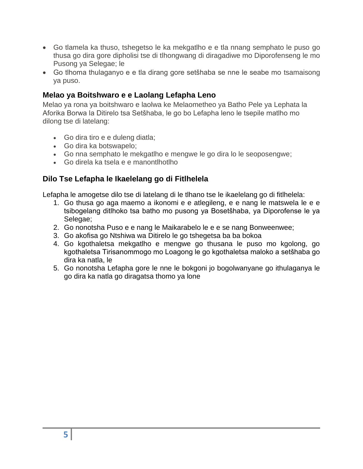- Go tlamela ka thuso, tshegetso le ka mekgatlho e e tla nnang semphato le puso go thusa go dira gore dipholisi tse di tlhongwang di diragadiwe mo Diporofenseng le mo Pusong ya Selegae; le
- Go tlhoma thulaganyo e e tla dirang gore setšhaba se nne le seabe mo tsamaisong ya puso.

# **Melao ya Boitshwaro e e Laolang Lefapha Leno**

Melao ya rona ya boitshwaro e laolwa ke Melaometheo ya Batho Pele ya Lephata la Aforika Borwa la Ditirelo tsa Setšhaba, le go bo Lefapha leno le tsepile matlho mo dilong tse di latelang:

- Go dira tiro e e duleng diatla;
- Go dira ka botswapelo;
- Go nna semphato le mekgatlho e mengwe le go dira lo le seoposengwe;
- Go direla ka tsela e e manontlhotlho

# **Dilo Tse Lefapha le Ikaelelang go di Fitlhelela**

Lefapha le amogetse dilo tse di latelang di le tlhano tse le ikaelelang go di fitlhelela:

- 1. Go thusa go aga maemo a ikonomi e e atlegileng, e e nang le matswela le e e tsibogelang ditlhoko tsa batho mo pusong ya Bosetšhaba, ya Diporofense le ya Selegae;
- 2. Go nonotsha Puso e e nang le Maikarabelo le e e se nang Bonweenwee;
- 3. Go akofisa go Ntshiwa wa Ditirelo le go tshegetsa ba ba bokoa
- 4. Go kgothaletsa mekgatlho e mengwe go thusana le puso mo kgolong, go kgothaletsa Tirisanommogo mo Loagong le go kgothaletsa maloko a setšhaba go dira ka natla, le
- 5. Go nonotsha Lefapha gore le nne le bokgoni jo bogolwanyane go ithulaganya le go dira ka natla go diragatsa thomo ya lone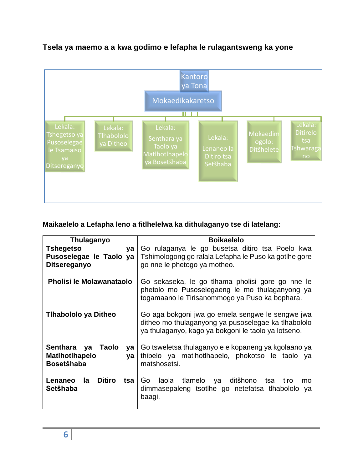<span id="page-5-0"></span>

# **Tsela ya maemo a a kwa godimo e lefapha le rulagantsweng ka yone**

# **Maikaelelo a Lefapha leno a fitlhelelwa ka dithulaganyo tse di latelang:**

| Thulaganyo                                                                        | <b>Boikaelelo</b>                                                                                                                                              |  |  |
|-----------------------------------------------------------------------------------|----------------------------------------------------------------------------------------------------------------------------------------------------------------|--|--|
| Tshegetso<br>ya<br>Pusoselegae le Taolo ya<br><b>Ditsereganyo</b>                 | Go rulaganya le go busetsa ditiro tsa Poelo kwa<br>Tshimologong go ralala Lefapha le Puso ka gotihe gore<br>go nne le phetogo ya motheo.                       |  |  |
| <b>Pholisi le Molawanataolo</b>                                                   | Go sekaseka, le go tihama pholisi gore go nne le<br>phetolo mo Pusoselegaeng le mo thulaganyong ya<br>togamaano le Tirisanommogo ya Puso ka bophara.           |  |  |
| Tihabololo ya Ditheo                                                              | Go aga bokgoni jwa go emela sengwe le sengwe jwa<br>ditheo mo thulaganyong ya pusoselegae ka tlhabololo<br>ya thulaganyo, kago ya bokgoni le taolo ya lotseno. |  |  |
| Senthara<br><b>Taolo</b><br>ya<br>ya<br>Matlhotlhapelo<br>ya<br><b>Bosetšhaba</b> | Go tsweletsa thulaganyo e e kopaneng ya kgolaano ya<br>thibelo ya matlhotlhapelo, phokotso le taolo<br>va<br>matshosetsi.                                      |  |  |
| <b>Ditiro</b><br>Lenaneo<br>la<br>tsa<br>Setšhaba                                 | Go<br>laola<br>tlamelo<br>ditšhono<br>tiro<br>tsa<br>ya<br>mo<br>dimmasepaleng tsotlhe go netefatsa tlhabololo<br>ya<br>baagi.                                 |  |  |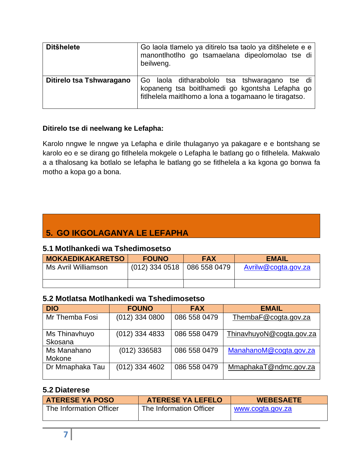| <b>Ditšhelete</b>        | Go laola tlamelo ya ditirelo tsa taolo ya ditšhelete e e<br>manontlhotlho go tsamaelana dipeolomolao tse di<br>beilweng.                                  |
|--------------------------|-----------------------------------------------------------------------------------------------------------------------------------------------------------|
| Ditirelo tsa Tshwaragano | Go laola ditharabololo tsa tshwaragano tse di<br>kopaneng tsa boitlhamedi go kgontsha Lefapha go<br>fitlhelela maitlhomo a lona a togamaano le tiragatso. |

# **Ditirelo tse di neelwang ke Lefapha:**

Karolo nngwe le nngwe ya Lefapha e dirile thulaganyo ya pakagare e e bontshang se karolo eo e se dirang go fitlhelela mokgele o Lefapha le batlang go o fitlhelela. Makwalo a a tlhalosang ka botlalo se lefapha le batlang go se fitlhelela a ka kgona go bonwa fa motho a kopa go a bona.

# **5. GO IKGOLAGANYA LE LEFAPHA**

### **5.1 Motlhankedi wa Tshedimosetso**

| <b>MOKAEDIKAKARETSO</b> | <b>FOUNO</b>     | <b>FAX</b>   | <b>EMAIL</b>        |
|-------------------------|------------------|--------------|---------------------|
| Ms Avril Williamson     | $(012)$ 334 0518 | 086 558 0479 | Avrilw@cogta.gov.za |
|                         |                  |              |                     |

# <span id="page-6-0"></span>**5.2 Motlatsa Motlhankedi wa Tshedimosetso**

| <b>DIO</b>               | <b>FOUNO</b>     | <b>FAX</b>   | <b>EMAIL</b>             |
|--------------------------|------------------|--------------|--------------------------|
| Mr Themba Fosi           | $(012)$ 334 0800 | 086 558 0479 | ThembaF@cogta.gov.za     |
| Ms Thinavhuyo<br>Skosana | $(012)$ 334 4833 | 086 558 0479 | ThinavhuyoN@cogta.gov.za |
| Ms Manahano<br>Mokone    | $(012)$ 336583   | 086 558 0479 | ManahanoM@cogta.gov.za   |
| Dr Mmaphaka Tau          | $(012)$ 334 4602 | 086 558 0479 | MmaphakaT@ndmc.gov.za    |

# **5.2 Diaterese**

| <b>ATERESE YA POSO</b>  | <b>ATERESE YA LEFELO</b> | <b>WEBESAETE</b> |  |
|-------------------------|--------------------------|------------------|--|
| The Information Officer | The Information Officer  | www.cogta.gov.za |  |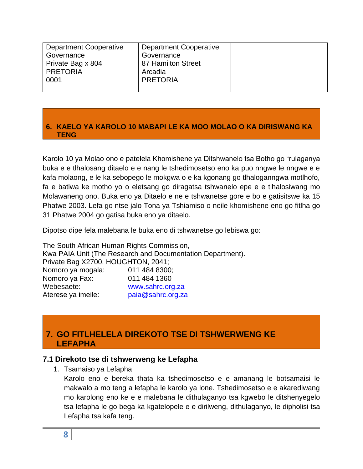| Department Cooperative | <b>Department Cooperative</b> |  |
|------------------------|-------------------------------|--|
| Governance             | Governance                    |  |
| Private Bag x 804      | 87 Hamilton Street            |  |
| <b>PRETORIA</b>        | Arcadia                       |  |
| 0001                   | <b>PRETORIA</b>               |  |
|                        |                               |  |

### <span id="page-7-0"></span>**6. KAELO YA KAROLO 10 MABAPI LE KA MOO MOLAO O KA DIRISWANG KA TENG**

Karolo 10 ya Molao ono e patelela Khomishene ya Ditshwanelo tsa Botho go "rulaganya buka e e tlhalosang ditaelo e e nang le tshedimosetso eno ka puo nngwe le nngwe e e kafa molaong, e le ka sebopego le mokgwa o e ka kgonang go tlhaloganngwa motlhofo, fa e batlwa ke motho yo o eletsang go diragatsa tshwanelo epe e e tlhalosiwang mo Molawaneng ono. Buka eno ya Ditaelo e ne e tshwanetse gore e bo e gatisitswe ka 15 Phatwe 2003. Lefa go ntse jalo Tona ya Tshiamiso o neile khomishene eno go fitlha go 31 Phatwe 2004 go gatisa buka eno ya ditaelo.

Dipotso dipe fela malebana le buka eno di tshwanetse go lebiswa go:

The South African Human Rights Commission, Kwa PAIA Unit (The Research and Documentation Department). Private Bag X2700, HOUGHTON, 2041; Nomoro ya mogala: 011 484 8300; Nomoro ya Fax: 011 484 1360 Webesaete: [www.sahrc.org.za](http://www.sahrc.org.za/) Aterese ya imeile: [paia@sahrc.org.za](mailto:paia@sahrc.org.za)

# <span id="page-7-1"></span>**7. GO FITLHELELA DIREKOTO TSE DI TSHWERWENG KE LEFAPHA**

# <span id="page-7-2"></span>**7.1 Direkoto tse di tshwerweng ke Lefapha**

1. Tsamaiso ya Lefapha

Karolo eno e bereka thata ka tshedimosetso e e amanang le botsamaisi le makwalo a mo teng a lefapha le karolo ya lone. Tshedimosetso e e akarediwang mo karolong eno ke e e malebana le dithulaganyo tsa kgwebo le ditshenyegelo tsa lefapha le go bega ka kgatelopele e e dirilweng, dithulaganyo, le dipholisi tsa Lefapha tsa kafa teng.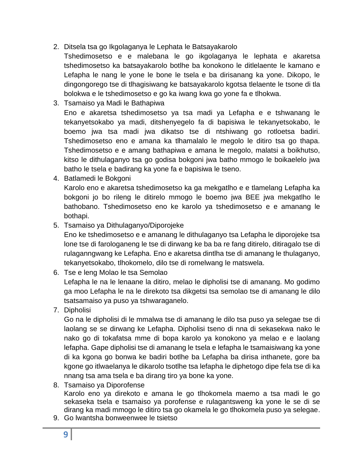2. Ditsela tsa go Ikgolaganya le Lephata le Batsayakarolo

Tshedimosetso e e malebana le go ikgolaganya le lephata e akaretsa tshedimosetso ka batsayakarolo botlhe ba konokono le ditlelaente le kamano e Lefapha le nang le yone le bone le tsela e ba dirisanang ka yone. Dikopo, le dingongorego tse di tlhagisiwang ke batsayakarolo kgotsa tlelaente le tsone di tla bolokwa e le tshedimosetso e go ka iwang kwa go yone fa e tlhokwa.

3. Tsamaiso ya Madi le Bathapiwa

Eno e akaretsa tshedimosetso ya tsa madi ya Lefapha e e tshwanang le tekanyetsokabo ya madi, ditshenyegelo fa di bapisiwa le tekanyetsokabo, le boemo jwa tsa madi jwa dikatso tse di ntshiwang go rotloetsa badiri. Tshedimosetso eno e amana ka tlhamalalo le megolo le ditiro tsa go thapa. Tshedimosetso e e amang bathapiwa e amana le megolo, malatsi a boikhutso, kitso le dithulaganyo tsa go godisa bokgoni jwa batho mmogo le boikaelelo jwa batho le tsela e badirang ka yone fa e bapisiwa le tseno.

4. Batlamedi le Bokgoni

Karolo eno e akaretsa tshedimosetso ka ga mekgatlho e e tlamelang Lefapha ka bokgoni jo bo rileng le ditirelo mmogo le boemo jwa BEE jwa mekgatlho le bathobano. Tshedimosetso eno ke karolo ya tshedimosetso e e amanang le bothapi.

5. Tsamaiso ya Dithulaganyo/Diporojeke

Eno ke tshedimosetso e e amanang le dithulaganyo tsa Lefapha le diporojeke tsa lone tse di farologaneng le tse di dirwang ke ba ba re fang ditirelo, ditiragalo tse di rulaganngwang ke Lefapha. Eno e akaretsa dintlha tse di amanang le thulaganyo, tekanyetsokabo, tlhokomelo, dilo tse di romelwang le matswela.

6. Tse e leng Molao le tsa Semolao

Lefapha le na le lenaane la ditiro, melao le dipholisi tse di amanang. Mo godimo ga moo Lefapha le na le direkoto tsa dikgetsi tsa semolao tse di amanang le dilo tsatsamaiso ya puso ya tshwaraganelo.

7. Dipholisi

Go na le dipholisi di le mmalwa tse di amanang le dilo tsa puso ya selegae tse di laolang se se dirwang ke Lefapha. Dipholisi tseno di nna di sekasekwa nako le nako go di tokafatsa mme di bopa karolo ya konokono ya melao e e laolang lefapha. Gape dipholisi tse di amanang le tsela e lefapha le tsamaisiwang ka yone di ka kgona go bonwa ke badiri botlhe ba Lefapha ba dirisa inthanete, gore ba kgone go itlwaelanya le dikarolo tsotlhe tsa lefapha le diphetogo dipe fela tse di ka nnang tsa ama tsela e ba dirang tiro ya bone ka yone.

8. Tsamaiso ya Diporofense

Karolo eno ya direkoto e amana le go tlhokomela maemo a tsa madi le go sekaseka tsela e tsamaiso ya porofense e rulagantsweng ka yone le se di se dirang ka madi mmogo le ditiro tsa go okamela le go tlhokomela puso ya selegae.

9. Go lwantsha bonweenwee le tsietso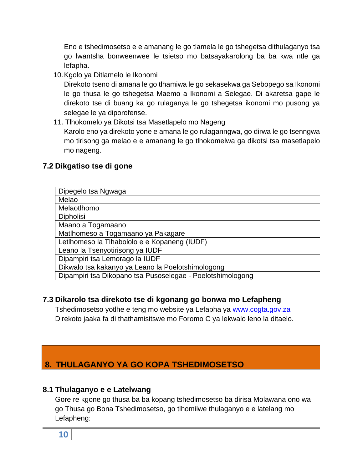Eno e tshedimosetso e e amanang le go tlamela le go tshegetsa dithulaganyo tsa go lwantsha bonweenwee le tsietso mo batsayakarolong ba ba kwa ntle ga lefapha.

10.Kgolo ya Ditlamelo le Ikonomi

Direkoto tseno di amana le go tlhamiwa le go sekasekwa ga Sebopego sa Ikonomi le go thusa le go tshegetsa Maemo a Ikonomi a Selegae. Di akaretsa gape le direkoto tse di buang ka go rulaganya le go tshegetsa ikonomi mo pusong ya selegae le ya diporofense.

11. Tlhokomelo ya Dikotsi tsa Masetlapelo mo Nageng Karolo eno ya direkoto yone e amana le go rulaganngwa, go dirwa le go tsenngwa mo tirisong ga melao e e amanang le go tlhokomelwa ga dikotsi tsa masetlapelo mo nageng.

# **7.2 Dikgatiso tse di gone**

| Dipegelo tsa Ngwaga                                        |
|------------------------------------------------------------|
| Melao                                                      |
| Melaotlhomo                                                |
| <b>Dipholisi</b>                                           |
| Maano a Togamaano                                          |
| Matlhomeso a Togamaano ya Pakagare                         |
| Letlhomeso la Tlhabololo e e Kopaneng (IUDF)               |
| Leano la Tsenyotirisong ya IUDF                            |
| Dipampiri tsa Lemorago la IUDF                             |
| Dikwalo tsa kakanyo ya Leano la Poelotshimologong          |
| Dipampiri tsa Dikopano tsa Pusoselegae - Poelotshimologong |

# **7.3 Dikarolo tsa direkoto tse di kgonang go bonwa mo Lefapheng**

Tshedimosetso yotlhe e teng mo website ya Lefapha ya [www.cogta.gov.za](http://www.cogta.gov.za/) Direkoto jaaka fa di thathamisitswe mo Foromo C ya lekwalo leno la ditaelo.

# **8. THULAGANYO YA GO KOPA TSHEDIMOSETSO**

# **8.1 Thulaganyo e e Latelwang**

Gore re kgone go thusa ba ba kopang tshedimosetso ba dirisa Molawana ono wa go Thusa go Bona Tshedimosetso, go tlhomilwe thulaganyo e e latelang mo Lefapheng: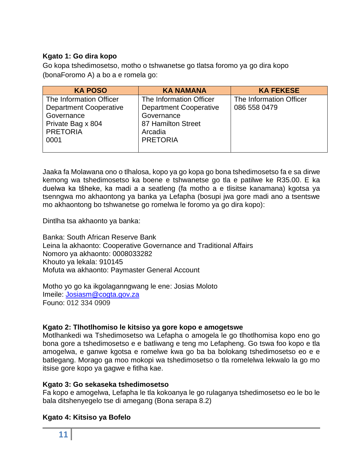### **Kgato 1: Go dira kopo**

Go kopa tshedimosetso, motho o tshwanetse go tlatsa foromo ya go dira kopo (bonaForomo A) a bo a e romela go:

| <b>KA POSO</b>                                                                                                         | <b>KA NAMANA</b>                                                                                                           | <b>KA FEKESE</b>                        |
|------------------------------------------------------------------------------------------------------------------------|----------------------------------------------------------------------------------------------------------------------------|-----------------------------------------|
| The Information Officer<br><b>Department Cooperative</b><br>Governance<br>Private Bag x 804<br><b>PRETORIA</b><br>0001 | The Information Officer<br><b>Department Cooperative</b><br>Governance<br>87 Hamilton Street<br>Arcadia<br><b>PRETORIA</b> | The Information Officer<br>086 558 0479 |

Jaaka fa Molawana ono o tlhalosa, kopo ya go kopa go bona tshedimosetso fa e sa dirwe kemong wa tshedimosetso ka boene e tshwanetse go tla e patilwe ke R35.00. E ka duelwa ka tšheke, ka madi a a seatleng (fa motho a e tlisitse kanamana) kgotsa ya tsenngwa mo akhaontong ya banka ya Lefapha (bosupi jwa gore madi ano a tsentswe mo akhaontong bo tshwanetse go romelwa le foromo ya go dira kopo):

Dintlha tsa akhaonto ya banka:

Banka: South African Reserve Bank Leina la akhaonto: Cooperative Governance and Traditional Affairs Nomoro ya akhaonto: 0008033282 Khouto ya lekala: 910145 Mofuta wa akhaonto: Paymaster General Account

Motho yo go ka ikgolaganngwang le ene: Josias Moloto Imeile: [Josiasm@cogta.gov.za](mailto:Josiasm@cogta.gov.za) Founo: 012 334 0909

### **Kgato 2: Tlhotlhomiso le kitsiso ya gore kopo e amogetswe**

Motlhankedi wa Tshedimosetso wa Lefapha o amogela le go tlhotlhomisa kopo eno go bona gore a tshedimosetso e e batliwang e teng mo Lefapheng. Go tswa foo kopo e tla amogelwa, e ganwe kgotsa e romelwe kwa go ba ba bolokang tshedimosetso eo e e batlegang. Morago ga moo mokopi wa tshedimosetso o tla romelelwa lekwalo la go mo itsise gore kopo ya gagwe e fitlha kae.

### **Kgato 3: Go sekaseka tshedimosetso**

Fa kopo e amogelwa, Lefapha le tla kokoanya le go rulaganya tshedimosetso eo le bo le bala ditshenyegelo tse di amegang (Bona serapa 8.2)

### **Kgato 4: Kitsiso ya Bofelo**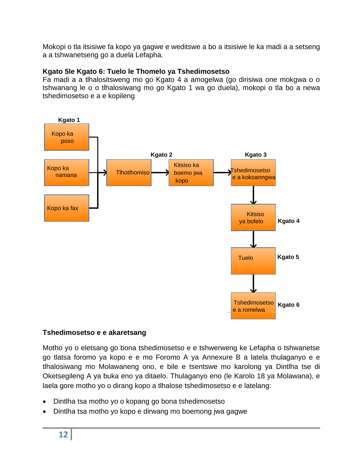Mokopi o tla itsisiwe fa kopo ya gagwe e weditswe a bo a itsisiwe le ka madi a a setseng a a tshwanetseng go a duela Lefapha.

### **Kgato 5le Kgato 6: Tuelo le Thomelo ya Tshedimosetso**

Fa madi a a tlhalositsweng mo go Kgato 4 a amogelwa (go dirisiwa one mokgwa o o tshwanang le o o tlhalosiwang mo go Kgato 1 wa go duela), mokopi o tla bo a newa tshedimosetso e a e kopileng



### **Tshedimosetso e e akaretsang**

Motho yo o eletsang go bona tshedimosetso e e tshwerweng ke Lefapha o tshwanetse go tlatsa foromo ya kopo e e mo Foromo A ya Annexure B a latela thulaganyo e e tlhalosiwang mo Molawaneng ono, e bile e tsentswe mo karolong ya Dintlha tse di Oketsegileng A ya buka eno ya ditaelo. Thulaganyo eno (le Karolo 18 ya Molawana), e laela gore motho yo o dirang kopo a tlhalose tshedimosetso e e latelang:

- Dintlha tsa motho yo o kopang go bona tshedimosetso
- Dintlha tsa motho yo kopo e dirwang mo boemong jwa gagwe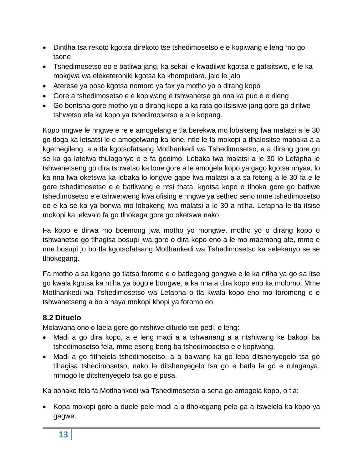- Dintlha tsa rekoto kgotsa direkoto tse tshedimosetso e e kopiwang e leng mo go tsone
- Tshedimosetso eo e batliwa jang, ka sekai, e kwadilwe kgotsa e gatisitswe, e le ka mokgwa wa eleketeroniki kgotsa ka khomputara, jalo le jalo
- Aterese ya poso kgotsa nomoro ya fax ya motho yo o dirang kopo
- Gore a tshedimosetso e e kopiwang e tshwanetse go nna ka puo e e rileng
- Go bontsha gore motho yo o dirang kopo a ka rata go itsisiwe jang gore go dirilwe tshwetso efe ka kopo ya tshedimosetso e a e kopang.

Kopo nngwe le nngwe e re e amogelang e tla berekwa mo lobakeng lwa malatsi a le 30 go tloga ka letsatsi le e amogelwang ka lone, ntle le fa mokopi a tlhalositse mabaka a a kgethegileng, a a tla kgotsofatsang Motlhankedi wa Tshedimosetso, a a dirang gore go se ka ga latelwa thulaganyo e e fa godimo. Lobaka lwa malatsi a le 30 lo Lefapha le tshwanetseng go dira tshwetso ka lone gore a le amogela kopo ya gago kgotsa nnyaa, lo ka nna lwa oketswa ka lobaka lo longwe gape lwa malatsi a a sa feteng a le 30 fa e le gore tshedimosetso e e batliwang e ntsi thata, kgotsa kopo e tlhoka gore go batliwe tshedimosetso e e tshwerweng kwa ofising e nngwe ya setheo seno mme tshedimosetso eo e ka se ka ya bonwa mo lobakeng lwa malatsi a le 30 a ntlha. Lefapha le tla itsise mokopi ka lekwalo fa go tlhokega gore go oketswe nako.

Fa kopo e dirwa mo boemong jwa motho yo mongwe, motho yo o dirang kopo o tshwanetse go tlhagisa bosupi jwa gore o dira kopo eno a le mo maemong afe, mme e nne bosupi jo bo tla kgotsofatsang Motlhankedi wa Tshedimosetso ka selekanyo se se tlhokegang.

Fa motho a sa kgone go tlatsa foromo e e batlegang gongwe e le ka ntlha ya go sa itse go kwala kgotsa ka ntlha ya bogole bongwe, a ka nna a dira kopo eno ka molomo. Mme Motlhankedi wa Tshedimosetso wa Lefapha o tla kwala kopo eno mo foromong e e tshwanetseng a bo a naya mokopi khopi ya foromo eo.

# **8.2 Dituelo**

Molawana ono o laela gore go ntshiwe dituelo tse pedi, e leng:

- Madi a go dira kopo, a e leng madi a a tshwanang a a ntshiwang ke bakopi ba tshedimosetso fela, mme eseng beng ba tshedimosetso e e kopiwang.
- Madi a go fitlhelela tshedimosetso, a a balwang ka go leba ditshenyegelo tsa go tlhagisa tshedimosetso, nako le ditshenyegelo tsa go e batla le go e rulaganya, mmogo le ditshenyegelo tsa go e posa.

Ka bonako fela fa Motlhankedi wa Tshedimosetso a sena go amogela kopo, o tla:

• Kopa mokopi gore a duele pele madi a a tlhokegang pele ga a tswelela ka kopo ya gagwe.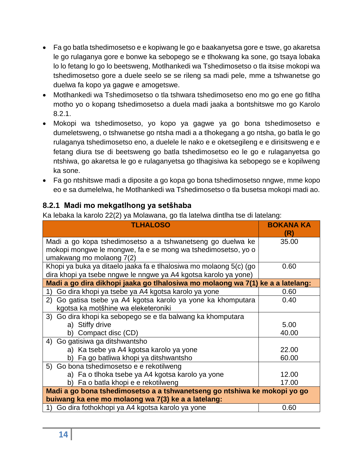- Fa go batla tshedimosetso e e kopiwang le go e baakanyetsa gore e tswe, go akaretsa le go rulaganya gore e bonwe ka sebopego se e tlhokwang ka sone, go tsaya lobaka lo lo fetang lo go lo beetsweng, Motlhankedi wa Tshedimosetso o tla itsise mokopi wa tshedimosetso gore a duele seelo se se rileng sa madi pele, mme a tshwanetse go duelwa fa kopo ya gagwe e amogetswe.
- Motlhankedi wa Tshedimosetso o tla tshwara tshedimosetso eno mo go ene go fitlha motho yo o kopang tshedimosetso a duela madi jaaka a bontshitswe mo go Karolo 8.2.1.
- Mokopi wa tshedimosetso, yo kopo ya gagwe ya go bona tshedimosetso e dumeletsweng, o tshwanetse go ntsha madi a a tlhokegang a go ntsha, go batla le go rulaganya tshedimosetso eno, a duelele le nako e e oketsegileng e e dirisitsweng e e fetang diura tse di beetsweng go batla tshedimosetso eo le go e rulaganyetsa go ntshiwa, go akaretsa le go e rulaganyetsa go tlhagisiwa ka sebopego se e kopilweng ka sone.
- Fa go ntshitswe madi a diposite a go kopa go bona tshedimosetso nngwe, mme kopo eo e sa dumelelwa, he Motlhankedi wa Tshedimosetso o tla busetsa mokopi madi ao.

# **8.2.1 Madi mo mekgatlhong ya setšhaba**

Ka lebaka la karolo 22(2) ya Molawana, go tla latelwa dintlha tse di latelang:

| <b>TLHALOSO</b>                                                                | <b>BOKANA KA</b><br>(R) |
|--------------------------------------------------------------------------------|-------------------------|
| Madi a go kopa tshedimosetso a a tshwanetseng go duelwa ke                     | 35.00                   |
| mokopi mongwe le mongwe, fa e se mong wa tshedimosetso, yo o                   |                         |
| umakwang mo molaong 7(2)                                                       |                         |
| Khopi ya buka ya ditaelo jaaka fa e tlhalosiwa mo molaong 5(c) (go             | 0.60                    |
| dira khopi ya tsebe nngwe le nngwe ya A4 kgotsa karolo ya yone)                |                         |
| Madi a go dira dikhopi jaaka go tlhalosiwa mo molaong wa 7(1) ke a a latelang: |                         |
| Go dira khopi ya tsebe ya A4 kgotsa karolo ya yone<br>1)                       | 0.60                    |
| 2) Go gatisa tsebe ya A4 kgotsa karolo ya yone ka khomputara                   | 0.40                    |
| kgotsa ka motšhine wa eleketeroniki                                            |                         |
| 3) Go dira khopi ka sebopego se e tla balwang ka khomputara                    |                         |
| a) Stiffy drive                                                                | 5.00                    |
| b) Compact disc (CD)                                                           | 40.00                   |
| 4) Go gatisiwa ga ditshwantsho                                                 |                         |
| a) Ka tsebe ya A4 kgotsa karolo ya yone                                        | 22.00                   |
| b) Fa go batliwa khopi ya ditshwantsho                                         | 60.00                   |
| 5) Go bona tshedimosetso e e rekotilweng                                       |                         |
| a) Fa o tlhoka tsebe ya A4 kgotsa karolo ya yone                               | 12.00                   |
| b) Fa o batla khopi e e rekotilweng                                            | 17.00                   |
| Madi a go bona tshedimosetso a a tshwanetseng go ntshiwa ke mokopi yo go       |                         |
| buiwang ka ene mo molaong wa 7(3) ke a a latelang:                             |                         |
| Go dira fothokhopi ya A4 kgotsa karolo ya yone                                 | 0.60                    |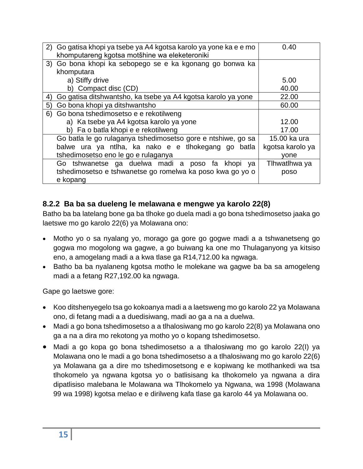| 2) Go gatisa khopi ya tsebe ya A4 kgotsa karolo ya yone ka e e mo<br>khomputareng kgotsa motšhine wa eleketeroniki | 0.40             |
|--------------------------------------------------------------------------------------------------------------------|------------------|
| 3) Go bona khopi ka sebopego se e ka kgonang go bonwa ka                                                           |                  |
| khomputara                                                                                                         |                  |
| a) Stiffy drive                                                                                                    | 5.00             |
| b) Compact disc (CD)                                                                                               | 40.00            |
| Go gatisa ditshwantsho, ka tsebe ya A4 kgotsa karolo ya yone<br>4)                                                 | 22.00            |
| Go bona khopi ya ditshwantsho<br>5)                                                                                | 60.00            |
| 6) Go bona tshedimosetso e e rekotilweng                                                                           |                  |
| a) Ka tsebe ya A4 kgotsa karolo ya yone                                                                            | 12.00            |
| b) Fa o batla khopi e e rekotilweng                                                                                | 17.00            |
| Go batla le go rulaganya tshedimosetso gore e ntshiwe, go sa                                                       | 15,00 ka ura     |
| balwe ura ya ntlha, ka nako e e tlhokegang go batla                                                                | kgotsa karolo ya |
| tshedimosetso eno le go e rulaganya                                                                                | vone             |
| Go tshwanetse ga duelwa madi a poso fa khopi<br>ya                                                                 | Tlhwatlhwa ya    |
| tshedimosetso e tshwanetse go romelwa ka poso kwa go yo o                                                          | poso             |
| e kopang                                                                                                           |                  |

# <span id="page-14-0"></span>**8.2.2 Ba ba sa dueleng le melawana e mengwe ya karolo 22(8)**

Batho ba ba latelang bone ga ba tlhoke go duela madi a go bona tshedimosetso jaaka go laetswe mo go karolo 22(6) ya Molawana ono:

- Motho yo o sa nyalang yo, morago ga gore go gogwe madi a a tshwanetseng go gogwa mo mogolong wa gagwe, a go buiwang ka one mo Thulaganyong ya kitsiso eno, a amogelang madi a a kwa tlase ga R14,712.00 ka ngwaga.
- Batho ba ba nyalaneng kgotsa motho le molekane wa gagwe ba ba sa amogeleng madi a a fetang R27,192.00 ka ngwaga.

Gape go laetswe gore:

- Koo ditshenyegelo tsa go kokoanya madi a a laetsweng mo go karolo 22 ya Molawana ono, di fetang madi a a duedisiwang, madi ao ga a na a duelwa.
- Madi a go bona tshedimosetso a a tlhalosiwang mo go karolo 22(8) ya Molawana ono ga a na a dira mo rekotong ya motho yo o kopang tshedimosetso.
- Madi a go kopa go bona tshedimosetso a a tlhalosiwang mo go karolo 22(I) ya Molawana ono le madi a go bona tshedimosetso a a tlhalosiwang mo go karolo 22(6) ya Molawana ga a dire mo tshedimosetsong e e kopiwang ke motlhankedi wa tsa tlhokomelo ya ngwana kgotsa yo o batlisisang ka tlhokomelo ya ngwana a dira dipatlisiso malebana le Molawana wa Tlhokomelo ya Ngwana, wa 1998 (Molawana 99 wa 1998) kgotsa melao e e dirilweng kafa tlase ga karolo 44 ya Molawana oo.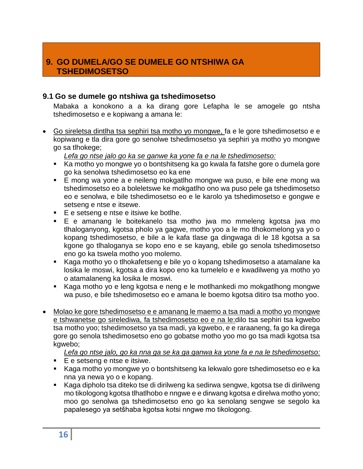# **9. GO DUMELA/GO SE DUMELE GO NTSHIWA GA TSHEDIMOSETSO**

### <span id="page-15-0"></span>**9.1 Go se dumele go ntshiwa ga tshedimosetso**

Mabaka a konokono a a ka dirang gore Lefapha le se amogele go ntsha tshedimosetso e e kopiwang a amana le:

• Go sireletsa dintlha tsa sephiri tsa motho yo mongwe, fa e le gore tshedimosetso e e kopiwang e tla dira gore go senolwe tshedimosetso ya sephiri ya motho yo mongwe go sa tlhokege;

*Lefa go ntse jalo go ka se ganwe ka yone fa e na le tshedimosetso:*

- Ka motho yo mongwe yo o bontshitseng ka go kwala fa fatshe gore o dumela gore go ka senolwa tshedimosetso eo ka ene
- E mong wa yone a e neileng mokgatlho mongwe wa puso, e bile ene mong wa tshedimosetso eo a boleletswe ke mokgatlho ono wa puso pele ga tshedimosetso eo e senolwa, e bile tshedimosetso eo e le karolo ya tshedimosetso e gongwe e setseng e ntse e itsewe.
- E e setseng e ntse e itsiwe ke botlhe.
- E e amanang le boitekanelo tsa motho jwa mo mmeleng kgotsa jwa mo tlhaloganyong, kgotsa pholo ya gagwe, motho yoo a le mo tlhokomelong ya yo o kopang tshedimosetso, e bile a le kafa tlase ga dingwaga di le 18 kgotsa a sa kgone go tlhaloganya se kopo eno e se kayang, ebile go senola tshedimosetso eno go ka tswela motho yoo molemo.
- Kaga motho yo o tlhokafetseng e bile yo o kopang tshedimosetso a atamalane ka losika le moswi, kgotsa a dira kopo eno ka tumelelo e e kwadilweng ya motho yo o atamalaneng ka losika le moswi.
- Kaga motho yo e leng kgotsa e neng e le motlhankedi mo mokgatlhong mongwe wa puso, e bile tshedimosetso eo e amana le boemo kgotsa ditiro tsa motho yoo.
- Molao ke gore tshedimosetso e e amanang le maemo a tsa madi a motho yo mongwe e tshwanetse go sirelediwa, fa tshedimosetso eo e na le:dilo tsa sephiri tsa kgwebo tsa motho yoo; tshedimosetso ya tsa madi, ya kgwebo, e e raraaneng, fa go ka direga gore go senola tshedimosetso eno go gobatse motho yoo mo go tsa madi kgotsa tsa kgwebo;

*Lefa go ntse jalo, go ka nna ga se ka ga ganwa ka yone fa e na le tshedimosetso:*

- E e setseng e ntse e itsiwe.
- Kaga motho yo mongwe yo o bontshitseng ka lekwalo gore tshedimosetso eo e ka nna ya newa yo o e kopang.
- Kaga dipholo tsa diteko tse di dirilweng ka sedirwa sengwe, kgotsa tse di dirilweng mo tikologong kgotsa tlhatlhobo e nngwe e e dirwang kgotsa e direlwa motho yono; moo go senolwa ga tshedimosetso eno go ka senolang sengwe se segolo ka papalesego ya setšhaba kgotsa kotsi nngwe mo tikologong.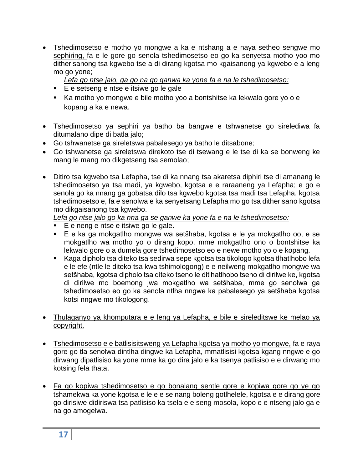- Tshedimosetso e motho yo mongwe a ka e ntshang a e naya setheo sengwe mo sephiring, fa e le gore go senola tshedimosetso eo go ka senyetsa motho yoo mo ditherisanong tsa kgwebo tse a di dirang kgotsa mo kgaisanong ya kgwebo e a leng mo go yone;
	- *Lefa go ntse jalo, ga go na go ganwa ka yone fa e na le tshedimosetso:*
	- E e setseng e ntse e itsiwe go le gale
	- Ka motho yo mongwe e bile motho yoo a bontshitse ka lekwalo gore yo o e kopang a ka e newa.
- Tshedimosetso ya sephiri ya batho ba bangwe e tshwanetse go sirelediwa fa ditumalano dipe di batla jalo;
- Go tshwanetse ga sireletswa pabalesego ya batho le ditsabone;
- Go tshwanetse ga sireletswa direkoto tse di tsewang e le tse di ka se bonweng ke mang le mang mo dikgetseng tsa semolao;
- Ditiro tsa kgwebo tsa Lefapha, tse di ka nnang tsa akaretsa diphiri tse di amanang le tshedimosetso ya tsa madi, ya kgwebo, kgotsa e e raraaneng ya Lefapha; e go e senola go ka nnang ga gobatsa dilo tsa kgwebo kgotsa tsa madi tsa Lefapha, kgotsa tshedimosetso e, fa e senolwa e ka senyetsang Lefapha mo go tsa ditherisano kgotsa mo dikgaisanong tsa kgwebo.

*Lefa go ntse jalo go ka nna ga se ganwe ka yone fa e na le tshedimosetso:*

- E e neng e ntse e itsiwe go le gale.
- E e ka ga mokgatlho mongwe wa setšhaba, kgotsa e le ya mokgatlho oo, e se mokgatlho wa motho yo o dirang kopo, mme mokgatlho ono o bontshitse ka lekwalo gore o a dumela gore tshedimosetso eo e newe motho yo o e kopang.
- Kaga dipholo tsa diteko tsa sedirwa sepe kgotsa tsa tikologo kgotsa tlhatlhobo lefa e le efe (ntle le diteko tsa kwa tshimologong) e e neilweng mokgatlho mongwe wa setšhaba, kgotsa dipholo tsa diteko tseno le ditlhatlhobo tseno di dirilwe ke, kgotsa di dirilwe mo boemong jwa mokgatlho wa setšhaba, mme go senolwa ga tshedimosetso eo go ka senola ntlha nngwe ka pabalesego ya setšhaba kgotsa kotsi nngwe mo tikologong.
- Thulaganyo ya khomputara e e leng ya Lefapha, e bile e sireleditswe ke melao ya copyright.
- Tshedimosetso e e batlisisitsweng ya Lefapha kgotsa ya motho yo mongwe, fa e raya gore go tla senolwa dintlha dingwe ka Lefapha, mmatlisisi kgotsa kgang nngwe e go dirwang dipatlisiso ka yone mme ka go dira jalo e ka tsenya patlisiso e e dirwang mo kotsing fela thata.
- Fa go kopiwa tshedimosetso e go bonalang sentle gore e kopiwa gore go ye go tshamekwa ka yone kgotsa e le e e se nang boleng gotlhelele, kgotsa e e dirang gore go dirisiwe didiriswa tsa patlisiso ka tsela e e seng mosola, kopo e e ntseng jalo ga e na go amogelwa.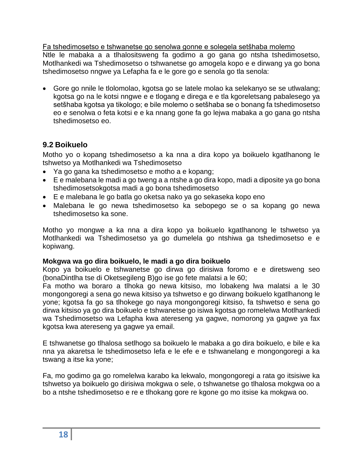Fa tshedimosetso e tshwanetse go senolwa gonne e solegela setšhaba molemo Ntle le mabaka a a tlhalositsweng fa godimo a go gana go ntsha tshedimosetso, Motlhankedi wa Tshedimosetso o tshwanetse go amogela kopo e e dirwang ya go bona tshedimosetso nngwe ya Lefapha fa e le gore go e senola go tla senola:

• Gore go nnile le tlolomolao, kgotsa go se latele molao ka selekanyo se se utlwalang; kgotsa go na le kotsi nngwe e e tlogang e direga e e tla kgoreletsang pabalesego ya setšhaba kgotsa ya tikologo; e bile molemo o setšhaba se o bonang fa tshedimosetso eo e senolwa o feta kotsi e e ka nnang gone fa go lejwa mabaka a go gana go ntsha tshedimosetso eo.

# **9.2 Boikuelo**

Motho yo o kopang tshedimosetso a ka nna a dira kopo ya boikuelo kgatlhanong le tshwetso ya Motlhankedi wa Tshedimosetso

- Ya go gana ka tshedimosetso e motho a e kopang;
- E e malebana le madi a go tweng a a ntshe a go dira kopo, madi a diposite ya go bona tshedimosetsokgotsa madi a go bona tshedimosetso
- E e malebana le go batla go oketsa nako ya go sekaseka kopo eno
- Malebana le go newa tshedimosetso ka sebopego se o sa kopang go newa tshedimosetso ka sone.

Motho yo mongwe a ka nna a dira kopo ya boikuelo kgatlhanong le tshwetso ya Motlhankedi wa Tshedimosetso ya go dumelela go ntshiwa ga tshedimosetso e e kopiwang.

### **Mokgwa wa go dira boikuelo, le madi a go dira boikuelo**

Kopo ya boikuelo e tshwanetse go dirwa go dirisiwa foromo e e diretsweng seo (bonaDintlha tse di Oketsegileng B)go ise go fete malatsi a le 60;

Fa motho wa boraro a tlhoka go newa kitsiso, mo lobakeng lwa malatsi a le 30 mongongoregi a sena go newa kitsiso ya tshwetso e go dirwang boikuelo kgatlhanong le yone; kgotsa fa go sa tlhokege go naya mongongoregi kitsiso, fa tshwetso e sena go dirwa kitsiso ya go dira boikuelo e tshwanetse go isiwa kgotsa go romelelwa Motlhankedi wa Tshedimosetso wa Lefapha kwa atereseng ya gagwe, nomorong ya gagwe ya fax kgotsa kwa atereseng ya gagwe ya email.

E tshwanetse go tlhalosa setlhogo sa boikuelo le mabaka a go dira boikuelo, e bile e ka nna ya akaretsa le tshedimosetso lefa e le efe e e tshwanelang e mongongoregi a ka tswang a itse ka yone;

Fa, mo godimo ga go romelelwa karabo ka lekwalo, mongongoregi a rata go itsisiwe ka tshwetso ya boikuelo go dirisiwa mokgwa o sele, o tshwanetse go tlhalosa mokgwa oo a bo a ntshe tshedimosetso e re e tlhokang gore re kgone go mo itsise ka mokgwa oo.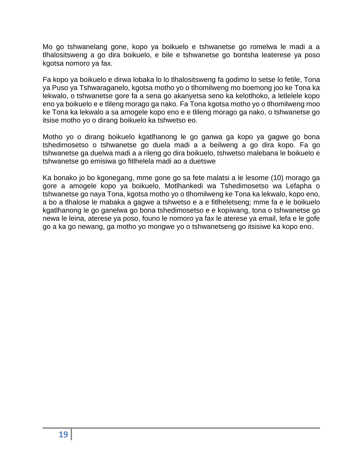Mo go tshwanelang gone, kopo ya boikuelo e tshwanetse go romelwa le madi a a tlhalositsweng a go dira boikuelo, e bile e tshwanetse go bontsha leaterese ya poso kgotsa nomoro ya fax.

Fa kopo ya boikuelo e dirwa lobaka lo lo tlhalositsweng fa godimo lo setse lo fetile, Tona ya Puso ya Tshwaraganelo, kgotsa motho yo o tlhomilweng mo boemong joo ke Tona ka lekwalo, o tshwanetse gore fa a sena go akanyetsa seno ka kelotlhoko, a letlelele kopo eno ya boikuelo e e tlileng morago ga nako. Fa Tona kgotsa motho yo o tlhomilweng moo ke Tona ka lekwalo a sa amogele kopo eno e e tlileng morago ga nako, o tshwanetse go itsise motho yo o dirang boikuelo ka tshwetso eo.

Motho yo o dirang boikuelo kgatlhanong le go ganwa ga kopo ya gagwe go bona tshedimosetso o tshwanetse go duela madi a a beilweng a go dira kopo. Fa go tshwanetse ga duelwa madi a a rileng go dira boikuelo, tshwetso malebana le boikuelo e tshwanetse go emisiwa go fitlhelela madi ao a duetswe

Ka bonako jo bo kgonegang, mme gone go sa fete malatsi a le lesome (10) morago ga gore a amogele kopo ya boikuelo, Motlhankedi wa Tshedimosetso wa Lefapha o tshwanetse go naya Tona, kgotsa motho yo o tlhomilweng ke Tona ka lekwalo, kopo eno, a bo a tlhalose le mabaka a gagwe a tshwetso e a e fitlheletseng; mme fa e le boikuelo kgatlhanong le go ganelwa go bona tshedimosetso e e kopiwang, tona o tshwanetse go newa le leina, aterese ya poso, founo le nomoro ya fax le aterese ya email, lefa e le gofe go a ka go newang, ga motho yo mongwe yo o tshwanetseng go itsisiwe ka kopo eno.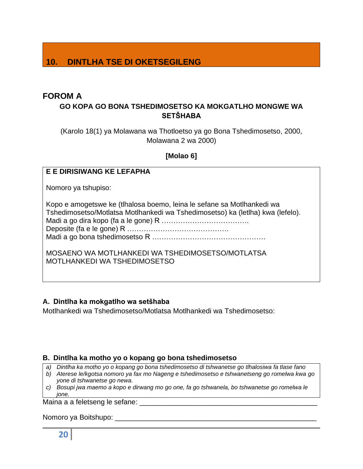# **10. DINTLHA TSE DI OKETSEGILENG**

# <span id="page-19-0"></span>**FOROM A**

# **GO KOPA GO BONA TSHEDIMOSETSO KA MOKGATLHO MONGWE WA SETŠHABA**

(Karolo 18(1) ya Molawana wa Thotloetso ya go Bona Tshedimosetso, 2000, Molawana 2 wa 2000)

### **[Molao 6]**

### **E E DIRISIWANG KE LEFAPHA**

Nomoro ya tshupiso:

Kopo e amogetswe ke (tlhalosa boemo, leina le sefane sa Motlhankedi wa Tshedimosetso/Motlatsa Motlhankedi wa Tshedimosetso) ka (letlha) kwa (lefelo). Madi a go dira kopo (fa a le gone) R ………………………………. Deposite (fa e le gone) R ……………………………………. Madi a go bona tshedimosetso R …………………………………………

MOSAENO WA MOTLHANKEDI WA TSHEDIMOSETSO/MOTLATSA MOTLHANKEDI WA TSHEDIMOSETSO

### **A. Dintlha ka mokgatlho wa setšhaba**

Motlhankedi wa Tshedimosetso/Motlatsa Motlhankedi wa Tshedimosetso:

### **B. Dintlha ka motho yo o kopang go bona tshedimosetso**

- *a) Dintlha ka motho yo o kopang go bona tshedimosetso di tshwanetse go tlhalosiwa fa tlase fano*
- *b) Aterese le/kgotsa nomoro ya fax mo Nageng e tshedimosetso e tshwanetseng go romelwa kwa go yone di tshwanetse go newa.*
- *c) Bosupi jwa maemo a kopo e dirwang mo go one, fa go tshwanela, bo tshwanetse go romelwa le jone.*

Maina a a feletseng le sefane: \_\_\_\_\_\_\_\_\_\_\_\_\_\_\_\_\_\_\_\_\_\_\_\_\_\_\_\_\_\_\_\_\_\_\_\_\_\_\_\_\_\_\_\_\_

Nomoro ya Boitshupo: \_\_\_\_\_\_\_\_\_\_\_\_\_\_\_\_\_\_\_\_\_\_\_\_\_\_\_\_\_\_\_\_\_\_\_\_\_\_\_\_\_\_\_\_\_\_\_\_\_\_\_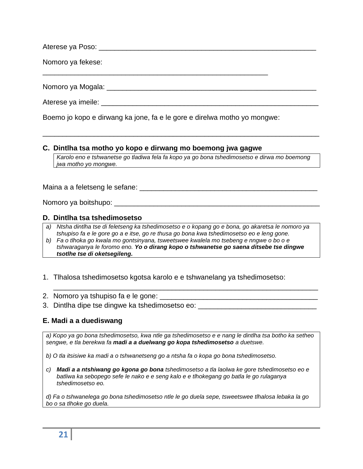Aterese ya Poso: eta aliantista eta aliantista eta aliantista eta aliantista eta aliantista eta aliantista eta

Nomoro ya fekese:

\_\_\_\_\_\_\_\_\_\_\_\_\_\_\_\_\_\_\_\_\_\_\_\_\_\_\_\_\_\_\_\_\_\_\_\_\_\_\_\_\_\_\_\_\_\_\_\_\_\_\_\_\_\_\_\_\_

Nomoro ya Mogala: \_\_\_\_\_\_\_\_\_\_\_\_\_\_\_\_\_\_\_\_\_\_\_\_\_\_\_\_\_\_\_\_\_\_\_\_\_\_\_\_\_\_\_\_\_\_\_\_\_\_\_\_\_

Aterese ya imeile: \_\_\_\_\_\_\_\_\_\_\_\_\_\_\_\_\_\_\_\_\_\_\_\_\_\_\_\_\_\_\_\_\_\_\_\_\_\_\_\_\_\_\_\_\_\_\_\_\_\_\_\_\_\_\_

Boemo jo kopo e dirwang ka jone, fa e le gore e direlwa motho yo mongwe:

### **C. Dintlha tsa motho yo kopo e dirwang mo boemong jwa gagwe**

*Karolo eno e tshwanetse go tladiwa fela fa kopo ya go bona tshedimosetso e dirwa mo boemong jwa motho yo mongwe.*

\_\_\_\_\_\_\_\_\_\_\_\_\_\_\_\_\_\_\_\_\_\_\_\_\_\_\_\_\_\_\_\_\_\_\_\_\_\_\_\_\_\_\_\_\_\_\_\_\_\_\_\_\_\_\_\_\_\_\_\_\_\_\_\_\_\_\_\_\_\_

Maina a a feletseng le sefane: \_\_\_\_\_\_\_\_\_\_\_\_\_\_\_\_\_\_\_\_\_\_\_\_\_\_\_\_\_\_\_\_\_\_\_\_\_\_\_\_\_\_\_\_\_

Nomoro ya boitshupo: \_\_\_\_\_\_\_\_\_\_\_\_\_\_\_\_\_\_\_\_\_\_\_\_\_\_\_\_\_\_\_\_\_\_\_\_\_\_\_\_\_\_\_\_\_\_\_\_\_\_\_\_

#### **D. Dintlha tsa tshedimosetso**

- *a) Ntsha dintlha tse di feletseng ka tshedimosetso e o kopang go e bona, go akaretsa le nomoro ya tshupiso fa e le gore go a e itse, go re thusa go bona kwa tshedimosetso eo e leng gone.*
- *b) Fa o tlhoka go kwala mo gontsinyana, tsweetswee kwalela mo tsebeng e nngwe o bo o e tshwaraganya le foromo eno. Yo o dirang kopo o tshwanetse go saena ditsebe tse dingwe tsotlhe tse di oketsegileng.*
- 1. Tlhalosa tshedimosetso kgotsa karolo e e tshwanelang ya tshedimosetso:
- 2. Nomoro ya tshupiso fa e le gone: \_\_\_\_\_\_\_\_\_\_\_\_\_\_\_\_\_\_\_\_\_\_\_\_\_\_\_\_\_\_\_\_\_\_\_\_\_\_\_\_
- 3. Dintlha dipe tse dingwe ka tshedimosetso eo: \_\_\_\_\_\_\_\_\_\_\_\_\_\_\_\_\_\_\_\_\_\_\_\_\_\_\_\_\_\_\_\_

### **E. Madi a a duediswang**

*a) Kopo ya go bona tshedimosetso, kwa ntle ga tshedimosetso e e nang le dintlha tsa botho ka setheo sengwe, e tla berekwa fa madi a a duelwang go kopa tshedimosetso a duetswe.*

\_\_\_\_\_\_\_\_\_\_\_\_\_\_\_\_\_\_\_\_\_\_\_\_\_\_\_\_\_\_\_\_\_\_\_\_\_\_\_\_\_\_\_\_\_\_\_\_\_\_\_\_\_\_\_\_\_\_\_\_\_\_\_\_\_\_\_

*b) O tla itsisiwe ka madi a o tshwanetseng go a ntsha fa o kopa go bona tshedimosetso.*

*c) Madi a a ntshiwang go kgona go bona tshedimosetso a tla laolwa ke gore tshedimosetso eo e batliwa ka sebopego sefe le nako e e seng kalo e e tlhokegang go batla le go rulaganya tshedimosetso eo.*

*d) Fa o tshwanelega go bona tshedimosetso ntle le go duela sepe, tsweetswee tlhalosa lebaka la go bo o sa tlhoke go duela.*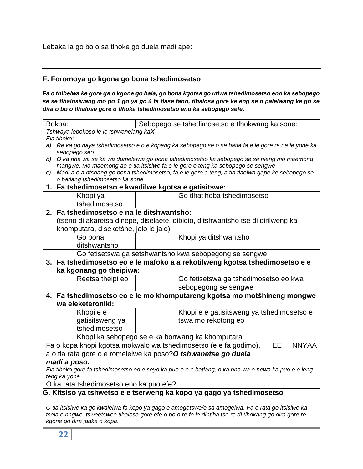Lebaka la go bo o sa tlhoke go duela madi ape:

# **F. Foromoya go kgona go bona tshedimosetso**

*Fa o thibelwa ke gore ga o kgone go bala, go bona kgotsa go utlwa tshedimosetso eno ka sebopego se se tlhalosiwang mo go 1 go ya go 4 fa tlase fano, tlhalosa gore ke eng se o palelwang ke go se dira o bo o tlhalose gore o tlhoka tshedimosetso eno ka sebopego sefe.*

| Bokoa:                           |                                                                                                                    |                                                     | Sebopego se tshedimosetso e tlhokwang ka sone: |                                                                                                  |    |              |
|----------------------------------|--------------------------------------------------------------------------------------------------------------------|-----------------------------------------------------|------------------------------------------------|--------------------------------------------------------------------------------------------------|----|--------------|
|                                  | Tshwaya lebokoso le le tshwanelang kaX                                                                             |                                                     |                                                |                                                                                                  |    |              |
|                                  | Ela tlhoko:<br>a) Re ka go naya tshedimosetso e o e kopang ka sebopego se o se batla fa e le gore re na le yone ka |                                                     |                                                |                                                                                                  |    |              |
|                                  |                                                                                                                    | sebopego seo.                                       |                                                |                                                                                                  |    |              |
| b)                               |                                                                                                                    |                                                     |                                                | O ka nna wa se ka wa dumelelwa go bona tshedimosetso ka sebopego se se rileng mo maemong         |    |              |
|                                  |                                                                                                                    |                                                     |                                                | mangwe. Mo maemong ao o tla itsisiwe fa e le gore e teng ka sebopego se sengwe.                  |    |              |
| C)                               |                                                                                                                    |                                                     |                                                | Madi a o a ntshang go bona tshedimosetso, fa e le gore a teng, a tla tlaolwa gape ke sebopego se |    |              |
|                                  |                                                                                                                    | o batlang tshedimosetso ka sone.                    |                                                |                                                                                                  |    |              |
|                                  |                                                                                                                    | 1. Fa tshedimosetso e kwadilwe kgotsa e gatisitswe: |                                                |                                                                                                  |    |              |
|                                  |                                                                                                                    | Khopi ya                                            |                                                | Go tlhatlhoba tshedimosetso                                                                      |    |              |
|                                  |                                                                                                                    | tshedimosetso                                       |                                                |                                                                                                  |    |              |
|                                  |                                                                                                                    | 2. Fa tshedimosetso e na le ditshwantsho:           |                                                |                                                                                                  |    |              |
|                                  |                                                                                                                    |                                                     |                                                | (tseno di akaretsa dinepe, diselaete, dibidio, ditshwantsho tse di dirilweng ka                  |    |              |
|                                  |                                                                                                                    | khomputara, diseketšhe, jalo le jalo):              |                                                |                                                                                                  |    |              |
| Khopi ya ditshwantsho<br>Go bona |                                                                                                                    |                                                     |                                                |                                                                                                  |    |              |
|                                  | ditshwantsho                                                                                                       |                                                     |                                                |                                                                                                  |    |              |
|                                  |                                                                                                                    |                                                     |                                                | Go fetisetswa ga setshwantsho kwa sebopegong se sengwe                                           |    |              |
|                                  |                                                                                                                    |                                                     |                                                | 3. Fa tshedimosetso eo e le mafoko a a rekotilweng kgotsa tshedimosetso e e                      |    |              |
|                                  | ka kgonang go theipiwa:                                                                                            |                                                     |                                                |                                                                                                  |    |              |
|                                  | Reetsa theipi eo<br>Go fetisetswa ga tshedimosetso eo kwa                                                          |                                                     |                                                |                                                                                                  |    |              |
|                                  |                                                                                                                    |                                                     |                                                | sebopegong se sengwe                                                                             |    |              |
|                                  |                                                                                                                    |                                                     |                                                | 4. Fa tshedimosetso eo e le mo khomputareng kgotsa mo motšhineng mongwe                          |    |              |
|                                  |                                                                                                                    | wa eleketeroniki:                                   |                                                |                                                                                                  |    |              |
|                                  |                                                                                                                    | Khopi e e                                           |                                                | Khopi e e gatisitsweng ya tshedimosetso e                                                        |    |              |
|                                  |                                                                                                                    | gatisitsweng ya                                     |                                                | tswa mo rekotong eo                                                                              |    |              |
|                                  |                                                                                                                    | tshedimosetso                                       |                                                |                                                                                                  |    |              |
|                                  |                                                                                                                    |                                                     |                                                | Khopi ka sebopego se e ka bonwang ka khomputara                                                  |    |              |
|                                  |                                                                                                                    |                                                     |                                                | Fa o kopa khopi kgotsa mokwalo wa tshedimosetso (e e fa godimo),                                 | EE | <b>NNYAA</b> |
|                                  |                                                                                                                    |                                                     |                                                |                                                                                                  |    |              |
|                                  | a o tla rata gore o e romelelwe ka poso? O tshwanetse go duela<br>madi a poso.                                     |                                                     |                                                |                                                                                                  |    |              |
|                                  | Ela tlhoko gore fa tshedimosetso eo e seyo ka puo e o e batlang, o ka nna wa e newa ka puo e e leng                |                                                     |                                                |                                                                                                  |    |              |
|                                  | teng ka yone.                                                                                                      |                                                     |                                                |                                                                                                  |    |              |
|                                  | O ka rata tshedimosetso eno ka puo efe?                                                                            |                                                     |                                                |                                                                                                  |    |              |
|                                  | G. Kitsiso ya tshwetso e e tserweng ka kopo ya gago ya tshedimosetso                                               |                                                     |                                                |                                                                                                  |    |              |

*O tla itsisiwe ka go kwalelwa fa kopo ya gago e amogetswe/e sa amogelwa. Fa o rata go itsisiwe ka tsela e nngwe, tsweetswee tlhalosa gore efe o bo o re fe le dintlha tse re di tlhokang go dira gore re kgone go dira jaaka o kopa.*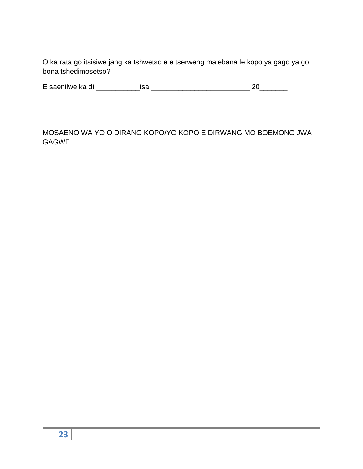O ka rata go itsisiwe jang ka tshwetso e e tserweng malebana le kopo ya gago ya go bona tshedimosetso? \_\_\_\_\_\_\_\_\_\_\_\_\_\_\_\_\_\_\_\_\_\_\_\_\_\_\_\_\_\_\_\_\_\_\_\_\_\_\_\_\_\_\_\_\_\_\_\_\_\_\_\_

|  | E saenilwe ka di |  |  |
|--|------------------|--|--|
|--|------------------|--|--|

\_\_\_\_\_\_\_\_\_\_\_\_\_\_\_\_\_\_\_\_\_\_\_\_\_\_\_\_\_\_\_\_\_\_\_\_\_\_\_\_\_

MOSAENO WA YO O DIRANG KOPO/YO KOPO E DIRWANG MO BOEMONG JWA GAGWE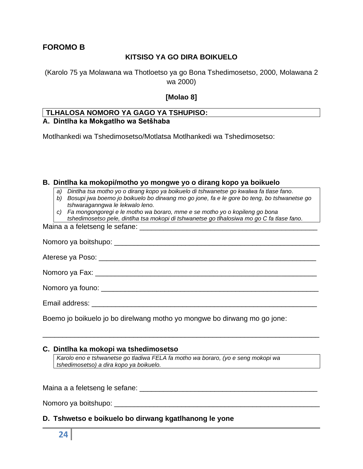# <span id="page-23-0"></span>**FOROMO B**

### **KITSISO YA GO DIRA BOIKUELO**

(Karolo 75 ya Molawana wa Thotloetso ya go Bona Tshedimosetso, 2000, Molawana 2 wa 2000)

### **[Molao 8]**

#### **TLHALOSA NOMORO YA GAGO YA TSHUPISO: A. Dintlha ka Mokgatlho wa Setšhaba**

Motlhankedi wa Tshedimosetso/Motlatsa Motlhankedi wa Tshedimosetso:

#### **B. Dintlha ka mokopi/motho yo mongwe yo o dirang kopo ya boikuelo**

- *a) Dintlha tsa motho yo o dirang kopo ya boikuelo di tshwanetse go kwalwa fa tlase fano.*
- *b) Bosupi jwa boemo jo boikuelo bo dirwang mo go jone, fa e le gore bo teng, bo tshwanetse go tshwaraganngwa le lekwalo leno.*
- *c) Fa mongongoregi e le motho wa boraro, mme e se motho yo o kopileng go bona* 
	- *tshedimosetso pele, dintlha tsa mokopi di tshwanetse go tlhalosiwa mo go C fa tlase fano.*

Maina a a feletseng le sefane: \_\_\_\_\_\_\_\_\_\_\_\_\_\_\_\_\_\_\_\_\_\_\_\_\_\_\_\_\_\_\_\_\_\_\_\_\_\_\_\_\_\_\_\_\_

| Email address: <u>experience and a series of the series of the series of the series of the series of the series of the series of the series of the series of the series of the series of the series of the series of the series </u> |
|--------------------------------------------------------------------------------------------------------------------------------------------------------------------------------------------------------------------------------------|

\_\_\_\_\_\_\_\_\_\_\_\_\_\_\_\_\_\_\_\_\_\_\_\_\_\_\_\_\_\_\_\_\_\_\_\_\_\_\_\_\_\_\_\_\_\_\_\_\_\_\_\_\_\_\_\_\_\_\_\_\_\_\_\_\_\_\_\_\_\_

Boemo jo boikuelo jo bo direlwang motho yo mongwe bo dirwang mo go jone:

#### **C. Dintlha ka mokopi wa tshedimosetso**

*Karolo eno e tshwanetse go tladiwa FELA fa motho wa boraro, (yo e seng mokopi wa tshedimosetso) a dira kopo ya boikuelo.*

Maina a a feletseng le sefane: \_\_\_\_\_\_\_\_\_\_\_\_\_\_\_\_\_\_\_\_\_\_\_\_\_\_\_\_\_\_\_\_\_\_\_\_\_\_\_\_\_\_\_\_\_

Nomoro ya boitshupo: \_\_\_\_\_\_\_\_\_\_\_\_\_\_\_\_\_\_\_\_\_\_\_\_\_\_\_\_\_\_\_\_\_\_\_\_\_\_\_\_\_\_\_\_\_\_\_\_\_\_\_\_

### **D. Tshwetso e boikuelo bo dirwang kgatlhanong le yone**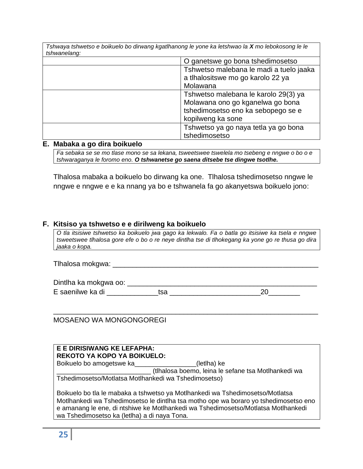| Tshwaya tshwetso e boikuelo bo dirwang kgatlhanong le yone ka letshwao la X mo lebokosong le le |                                         |  |
|-------------------------------------------------------------------------------------------------|-----------------------------------------|--|
| tshwanelang:                                                                                    |                                         |  |
|                                                                                                 | O ganetswe go bona tshedimosetso        |  |
|                                                                                                 | Tshwetso malebana le madi a tuelo jaaka |  |
|                                                                                                 | a tlhalositswe mo go karolo 22 ya       |  |
|                                                                                                 | Molawana                                |  |
|                                                                                                 | Tshwetso malebana le karolo 29(3) ya    |  |
|                                                                                                 | Molawana ono go kganelwa go bona        |  |
|                                                                                                 | tshedimosetso eno ka sebopego se e      |  |
|                                                                                                 | kopilweng ka sone                       |  |
|                                                                                                 | Tshwetso ya go naya tetla ya go bona    |  |
|                                                                                                 | tshedimosetso                           |  |

#### **E. Mabaka a go dira boikuelo**

*Fa sebaka se se mo tlase mono se sa lekana, tsweetswee tswelela mo tsebeng e nngwe o bo o e tshwaraganya le foromo eno. O tshwanetse go saena ditsebe tse dingwe tsotlhe.*

Tlhalosa mabaka a boikuelo bo dirwang ka one. Tlhalosa tshedimosetso nngwe le nngwe e nngwe e e ka nnang ya bo e tshwanela fa go akanyetswa boikuelo jono:

#### **F. Kitsiso ya tshwetso e e dirilweng ka boikuelo**

*O tla itsisiwe tshwetso ka boikuelo jwa gago ka lekwalo. Fa o batla go itsisiwe ka tsela e nngwe tsweetswee tlhalosa gore efe o bo o re neye dintlha tse di tlhokegang ka yone go re thusa go dira jaaka o kopa.*

Tlhalosa mokgwa: \_\_\_\_\_\_\_\_\_\_\_\_\_\_\_\_\_\_\_\_\_\_\_\_\_\_\_\_\_\_\_\_\_\_\_\_\_\_\_\_\_\_\_\_\_\_\_\_\_\_\_\_

Dintlha ka mokgwa oo: \_\_\_\_\_\_\_\_\_\_\_\_\_\_\_\_\_\_\_\_\_\_\_\_\_\_\_\_\_\_\_\_\_\_\_\_\_\_\_\_\_\_\_\_\_\_\_\_

\_\_\_\_\_\_\_\_\_\_\_\_\_\_\_\_\_\_\_\_\_\_\_\_\_\_\_\_\_\_\_\_\_\_\_\_\_\_\_\_\_\_\_\_\_\_\_\_\_\_\_\_\_\_\_\_\_\_\_\_\_\_\_\_\_\_\_

E saenilwe ka di \_\_\_\_\_\_\_\_\_\_\_\_\_tsa \_\_\_\_\_\_\_\_\_\_\_\_\_\_\_\_\_\_\_\_\_\_\_20\_\_\_\_\_\_\_\_

MOSAENO WA MONGONGOREGI

| E E DIRISIWANG KE LEFAPHA:                                                                                                                                                                                                                                                                                 |  |  |
|------------------------------------------------------------------------------------------------------------------------------------------------------------------------------------------------------------------------------------------------------------------------------------------------------------|--|--|
| REKOTO YA KOPO YA BOIKUELO:                                                                                                                                                                                                                                                                                |  |  |
| Boikuelo bo amogetswe ka<br>(letlha) ke                                                                                                                                                                                                                                                                    |  |  |
| (tlhalosa boemo, leina le sefane tsa Motlhankedi wa                                                                                                                                                                                                                                                        |  |  |
| Tshedimosetso/Motlatsa Motlhankedi wa Tshedimosetso)                                                                                                                                                                                                                                                       |  |  |
| Boikuelo bo tla le mabaka a tshwetso ya Motlhankedi wa Tshedimosetso/Motlatsa<br>Motlhankedi wa Tshedimosetso le dintlha tsa motho ope wa boraro yo tshedimosetso eno<br>e amanang le ene, di ntshiwe ke Motlhankedi wa Tshedimosetso/Motlatsa Motlhankedi<br>wa Tshedimosetso ka (letlha) a di naya Tona. |  |  |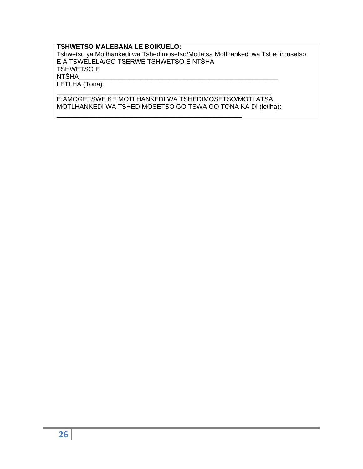### **TSHWETSO MALEBANA LE BOIKUELO:**

Tshwetso ya Motlhankedi wa Tshedimosetso/Motlatsa Motlhankedi wa Tshedimosetso E A TSWELELA/GO TSERWE TSHWETSO E NTŠHA TSHWETSO E<br>NTŠHA NTŠHA\_\_\_\_\_\_\_\_\_\_\_\_\_\_\_\_\_\_\_\_\_\_\_\_\_\_\_\_\_\_\_\_\_\_\_\_\_\_\_\_\_\_\_\_\_\_\_\_\_\_\_\_\_\_\_ LETLHA (Tona): \_\_\_\_\_\_\_\_\_\_\_\_\_\_\_\_\_\_\_\_\_\_\_\_\_\_\_\_\_\_\_\_\_\_\_\_\_\_\_\_\_\_\_\_\_\_\_\_\_\_\_\_\_\_\_\_\_\_\_

E AMOGETSWE KE MOTLHANKEDI WA TSHEDIMOSETSO/MOTLATSA MOTLHANKEDI WA TSHEDIMOSETSO GO TSWA GO TONA KA DI (letlha):

<span id="page-25-0"></span>\_\_\_\_\_\_\_\_\_\_\_\_\_\_\_\_\_\_\_\_\_\_\_\_\_\_\_\_\_\_\_\_\_\_\_\_\_\_\_\_\_\_\_\_\_\_\_\_\_\_\_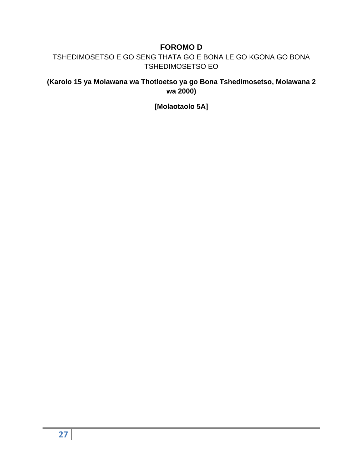# **FOROMO D**

TSHEDIMOSETSO E GO SENG THATA GO E BONA LE GO KGONA GO BONA TSHEDIMOSETSO EO

**(Karolo 15 ya Molawana wa Thotloetso ya go Bona Tshedimosetso, Molawana 2 wa 2000)**

**[Molaotaolo 5A]**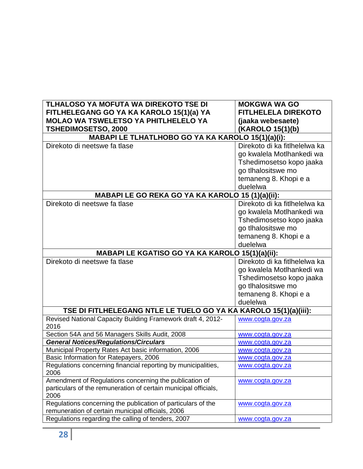| TLHALOSO YA MOFUTA WA DIREKOTO TSE DI                                   | <b>MOKGWA WA GO</b>           |  |
|-------------------------------------------------------------------------|-------------------------------|--|
| FITLHELEGANG GO YA KA KAROLO 15(1)(a) YA                                | <b>FITLHELELA DIREKOTO</b>    |  |
| <b>MOLAO WA TSWELETSO YA PHITLHELELO YA</b>                             | (jaaka webesaete)             |  |
| <b>TSHEDIMOSETSO, 2000</b>                                              | (KAROLO 15(1)(b)              |  |
| MABAPI LE TLHATLHOBO GO YA KA KAROLO 15(1)(a)(i):                       |                               |  |
| Direkoto di neetswe fa tlase                                            | Direkoto di ka fitlhelelwa ka |  |
|                                                                         | go kwalela Motlhankedi wa     |  |
|                                                                         | Tshedimosetso kopo jaaka      |  |
|                                                                         | go tlhalositswe mo            |  |
|                                                                         | temaneng 8. Khopi e a         |  |
|                                                                         | duelelwa                      |  |
| MABAPI LE GO REKA GO YA KA KAROLO 15 (1)(a)(ii):                        |                               |  |
| Direkoto di neetswe fa tlase                                            | Direkoto di ka fitlhelelwa ka |  |
|                                                                         | go kwalela Motlhankedi wa     |  |
|                                                                         | Tshedimosetso kopo jaaka      |  |
|                                                                         | go tlhalositswe mo            |  |
|                                                                         | temaneng 8. Khopi e a         |  |
|                                                                         | duelelwa                      |  |
| MABAPI LE KGATISO GO YA KA KAROLO 15(1)(a)(ii):                         |                               |  |
| Direkoto di neetswe fa tlase                                            | Direkoto di ka fitlhelelwa ka |  |
|                                                                         | go kwalela Motlhankedi wa     |  |
|                                                                         | Tshedimosetso kopo jaaka      |  |
|                                                                         | go tlhalositswe mo            |  |
|                                                                         | temaneng 8. Khopi e a         |  |
|                                                                         | duelelwa                      |  |
| TSE DI FITLHELEGANG NTLE LE TUELO GO YA KA KAROLO 15(1)(a)(iii):        |                               |  |
| Revised National Capacity Building Framework draft 4, 2012-<br>2016     | www.cogta.gov.za              |  |
| Section 54A and 56 Managers Skills Audit, 2008                          | www.cogta.gov.za              |  |
| <b>General Notices/Regulations/Circulars</b>                            | www.cogta.gov.za              |  |
| Municipal Property Rates Act basic information, 2006                    | www.cogta.gov.za              |  |
| Basic Information for Ratepayers, 2006                                  | www.cogta.gov.za              |  |
| Regulations concerning financial reporting by municipalities,<br>2006   | www.cogta.gov.za              |  |
| Amendment of Regulations concerning the publication of                  | www.cogta.gov.za              |  |
| particulars of the remuneration of certain municipal officials,<br>2006 |                               |  |
| Regulations concerning the publication of particulars of the            | www.cogta.gov.za              |  |
| remuneration of certain municipal officials, 2006                       |                               |  |
| Regulations regarding the calling of tenders, 2007                      | www.cogta.gov.za              |  |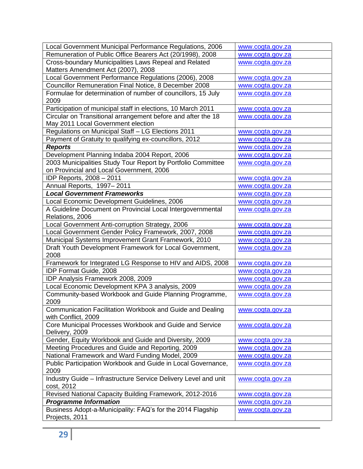| Remuneration of Public Office Bearers Act (20/1998), 2008<br>www.cogta.gov.za<br>Cross-boundary Municipalities Laws Repeal and Related<br>www.cogta.gov.za<br>Matters Amendment Act (2007), 2008<br>Local Government Performance Regulations (2006), 2008<br>www.cogta.gov.za<br>Councillor Remuneration Final Notice, 8 December 2008<br>www.cogta.gov.za<br>Formulae for determination of number of councillors, 15 July<br>www.cogta.gov.za<br>2009<br>Participation of municipal staff in elections, 10 March 2011<br>www.cogta.gov.za<br>Circular on Transitional arrangement before and after the 18<br>www.cogta.gov.za<br>May 2011 Local Government election<br>Regulations on Municipal Staff - LG Elections 2011<br>www.cogta.gov.za<br>Payment of Gratuity to qualifying ex-councillors, 2012<br>www.cogta.gov.za<br><b>Reports</b><br>www.cogta.gov.za<br>Development Planning Indaba 2004 Report, 2006<br>www.cogta.gov.za<br>2003 Municipalities Study Tour Report by Portfolio Committee<br>www.cogta.gov.za<br>on Provincial and Local Government, 2006<br>IDP Reports, 2008 - 2011<br>www.cogta.gov.za<br>Annual Reports, 1997-2011<br>www.cogta.gov.za<br><b>Local Government Frameworks</b><br>www.cogta.gov.za<br>Local Economic Development Guidelines, 2006<br>www.cogta.gov.za<br>A Guideline Document on Provincial Local Intergovernmental<br>www.cogta.gov.za<br>Relations, 2006<br>Local Government Anti-corruption Strategy, 2006<br>www.cogta.gov.za<br>Local Government Gender Policy Framework, 2007, 2008<br>www.cogta.gov.za<br>Municipal Systems Improvement Grant Framework, 2010<br>www.cogta.gov.za<br>Draft Youth Development Framework for Local Government,<br>www.cogta.gov.za<br>2008<br>Framework for Integrated LG Response to HIV and AIDS, 2008<br>www.cogta.gov.za<br>IDP Format Guide, 2008<br>www.cogta.gov.za<br>IDP Analysis Framework 2008, 2009<br>www.cogta.gov.za<br>Local Economic Development KPA 3 analysis, 2009<br>www.cogta.gov.za<br>Community-based Workbook and Guide Planning Programme,<br>www.cogta.gov.za<br>2009<br>Communication Facilitation Workbook and Guide and Dealing<br>www.cogta.gov.za<br>with Conflict, 2009<br>Core Municipal Processes Workbook and Guide and Service<br>www.cogta.gov.za<br>Delivery, 2009<br>Gender, Equity Workbook and Guide and Diversity, 2009<br>www.cogta.gov.za<br>Meeting Procedures and Guide and Reporting, 2009<br>www.cogta.gov.za<br>National Framework and Ward Funding Model, 2009<br>www.cogta.gov.za<br>Public Participation Workbook and Guide in Local Governance,<br>www.cogta.gov.za<br>2009<br>Industry Guide - Infrastructure Service Delivery Level and unit<br>www.cogta.gov.za<br>cost, 2012<br>Revised National Capacity Building Framework, 2012-2016<br>www.cogta.gov.za<br><b>Programme Information</b><br>www.cogta.gov.za<br>Business Adopt-a-Municipality: FAQ's for the 2014 Flagship<br>www.cogta.gov.za | Local Government Municipal Performance Regulations, 2006 | www.cogta.gov.za |
|--------------------------------------------------------------------------------------------------------------------------------------------------------------------------------------------------------------------------------------------------------------------------------------------------------------------------------------------------------------------------------------------------------------------------------------------------------------------------------------------------------------------------------------------------------------------------------------------------------------------------------------------------------------------------------------------------------------------------------------------------------------------------------------------------------------------------------------------------------------------------------------------------------------------------------------------------------------------------------------------------------------------------------------------------------------------------------------------------------------------------------------------------------------------------------------------------------------------------------------------------------------------------------------------------------------------------------------------------------------------------------------------------------------------------------------------------------------------------------------------------------------------------------------------------------------------------------------------------------------------------------------------------------------------------------------------------------------------------------------------------------------------------------------------------------------------------------------------------------------------------------------------------------------------------------------------------------------------------------------------------------------------------------------------------------------------------------------------------------------------------------------------------------------------------------------------------------------------------------------------------------------------------------------------------------------------------------------------------------------------------------------------------------------------------------------------------------------------------------------------------------------------------------------------------------------------------------------------------------------------------------------------------------------------------------------------------------------------------------------------------------------------------------------------------------------------------------------------------------------------------------------------------------------------------------------------------|----------------------------------------------------------|------------------|
|                                                                                                                                                                                                                                                                                                                                                                                                                                                                                                                                                                                                                                                                                                                                                                                                                                                                                                                                                                                                                                                                                                                                                                                                                                                                                                                                                                                                                                                                                                                                                                                                                                                                                                                                                                                                                                                                                                                                                                                                                                                                                                                                                                                                                                                                                                                                                                                                                                                                                                                                                                                                                                                                                                                                                                                                                                                                                                                                                  |                                                          |                  |
|                                                                                                                                                                                                                                                                                                                                                                                                                                                                                                                                                                                                                                                                                                                                                                                                                                                                                                                                                                                                                                                                                                                                                                                                                                                                                                                                                                                                                                                                                                                                                                                                                                                                                                                                                                                                                                                                                                                                                                                                                                                                                                                                                                                                                                                                                                                                                                                                                                                                                                                                                                                                                                                                                                                                                                                                                                                                                                                                                  |                                                          |                  |
|                                                                                                                                                                                                                                                                                                                                                                                                                                                                                                                                                                                                                                                                                                                                                                                                                                                                                                                                                                                                                                                                                                                                                                                                                                                                                                                                                                                                                                                                                                                                                                                                                                                                                                                                                                                                                                                                                                                                                                                                                                                                                                                                                                                                                                                                                                                                                                                                                                                                                                                                                                                                                                                                                                                                                                                                                                                                                                                                                  |                                                          |                  |
|                                                                                                                                                                                                                                                                                                                                                                                                                                                                                                                                                                                                                                                                                                                                                                                                                                                                                                                                                                                                                                                                                                                                                                                                                                                                                                                                                                                                                                                                                                                                                                                                                                                                                                                                                                                                                                                                                                                                                                                                                                                                                                                                                                                                                                                                                                                                                                                                                                                                                                                                                                                                                                                                                                                                                                                                                                                                                                                                                  |                                                          |                  |
|                                                                                                                                                                                                                                                                                                                                                                                                                                                                                                                                                                                                                                                                                                                                                                                                                                                                                                                                                                                                                                                                                                                                                                                                                                                                                                                                                                                                                                                                                                                                                                                                                                                                                                                                                                                                                                                                                                                                                                                                                                                                                                                                                                                                                                                                                                                                                                                                                                                                                                                                                                                                                                                                                                                                                                                                                                                                                                                                                  |                                                          |                  |
|                                                                                                                                                                                                                                                                                                                                                                                                                                                                                                                                                                                                                                                                                                                                                                                                                                                                                                                                                                                                                                                                                                                                                                                                                                                                                                                                                                                                                                                                                                                                                                                                                                                                                                                                                                                                                                                                                                                                                                                                                                                                                                                                                                                                                                                                                                                                                                                                                                                                                                                                                                                                                                                                                                                                                                                                                                                                                                                                                  |                                                          |                  |
|                                                                                                                                                                                                                                                                                                                                                                                                                                                                                                                                                                                                                                                                                                                                                                                                                                                                                                                                                                                                                                                                                                                                                                                                                                                                                                                                                                                                                                                                                                                                                                                                                                                                                                                                                                                                                                                                                                                                                                                                                                                                                                                                                                                                                                                                                                                                                                                                                                                                                                                                                                                                                                                                                                                                                                                                                                                                                                                                                  |                                                          |                  |
|                                                                                                                                                                                                                                                                                                                                                                                                                                                                                                                                                                                                                                                                                                                                                                                                                                                                                                                                                                                                                                                                                                                                                                                                                                                                                                                                                                                                                                                                                                                                                                                                                                                                                                                                                                                                                                                                                                                                                                                                                                                                                                                                                                                                                                                                                                                                                                                                                                                                                                                                                                                                                                                                                                                                                                                                                                                                                                                                                  |                                                          |                  |
|                                                                                                                                                                                                                                                                                                                                                                                                                                                                                                                                                                                                                                                                                                                                                                                                                                                                                                                                                                                                                                                                                                                                                                                                                                                                                                                                                                                                                                                                                                                                                                                                                                                                                                                                                                                                                                                                                                                                                                                                                                                                                                                                                                                                                                                                                                                                                                                                                                                                                                                                                                                                                                                                                                                                                                                                                                                                                                                                                  |                                                          |                  |
|                                                                                                                                                                                                                                                                                                                                                                                                                                                                                                                                                                                                                                                                                                                                                                                                                                                                                                                                                                                                                                                                                                                                                                                                                                                                                                                                                                                                                                                                                                                                                                                                                                                                                                                                                                                                                                                                                                                                                                                                                                                                                                                                                                                                                                                                                                                                                                                                                                                                                                                                                                                                                                                                                                                                                                                                                                                                                                                                                  |                                                          |                  |
|                                                                                                                                                                                                                                                                                                                                                                                                                                                                                                                                                                                                                                                                                                                                                                                                                                                                                                                                                                                                                                                                                                                                                                                                                                                                                                                                                                                                                                                                                                                                                                                                                                                                                                                                                                                                                                                                                                                                                                                                                                                                                                                                                                                                                                                                                                                                                                                                                                                                                                                                                                                                                                                                                                                                                                                                                                                                                                                                                  |                                                          |                  |
|                                                                                                                                                                                                                                                                                                                                                                                                                                                                                                                                                                                                                                                                                                                                                                                                                                                                                                                                                                                                                                                                                                                                                                                                                                                                                                                                                                                                                                                                                                                                                                                                                                                                                                                                                                                                                                                                                                                                                                                                                                                                                                                                                                                                                                                                                                                                                                                                                                                                                                                                                                                                                                                                                                                                                                                                                                                                                                                                                  |                                                          |                  |
|                                                                                                                                                                                                                                                                                                                                                                                                                                                                                                                                                                                                                                                                                                                                                                                                                                                                                                                                                                                                                                                                                                                                                                                                                                                                                                                                                                                                                                                                                                                                                                                                                                                                                                                                                                                                                                                                                                                                                                                                                                                                                                                                                                                                                                                                                                                                                                                                                                                                                                                                                                                                                                                                                                                                                                                                                                                                                                                                                  |                                                          |                  |
|                                                                                                                                                                                                                                                                                                                                                                                                                                                                                                                                                                                                                                                                                                                                                                                                                                                                                                                                                                                                                                                                                                                                                                                                                                                                                                                                                                                                                                                                                                                                                                                                                                                                                                                                                                                                                                                                                                                                                                                                                                                                                                                                                                                                                                                                                                                                                                                                                                                                                                                                                                                                                                                                                                                                                                                                                                                                                                                                                  |                                                          |                  |
|                                                                                                                                                                                                                                                                                                                                                                                                                                                                                                                                                                                                                                                                                                                                                                                                                                                                                                                                                                                                                                                                                                                                                                                                                                                                                                                                                                                                                                                                                                                                                                                                                                                                                                                                                                                                                                                                                                                                                                                                                                                                                                                                                                                                                                                                                                                                                                                                                                                                                                                                                                                                                                                                                                                                                                                                                                                                                                                                                  |                                                          |                  |
|                                                                                                                                                                                                                                                                                                                                                                                                                                                                                                                                                                                                                                                                                                                                                                                                                                                                                                                                                                                                                                                                                                                                                                                                                                                                                                                                                                                                                                                                                                                                                                                                                                                                                                                                                                                                                                                                                                                                                                                                                                                                                                                                                                                                                                                                                                                                                                                                                                                                                                                                                                                                                                                                                                                                                                                                                                                                                                                                                  |                                                          |                  |
|                                                                                                                                                                                                                                                                                                                                                                                                                                                                                                                                                                                                                                                                                                                                                                                                                                                                                                                                                                                                                                                                                                                                                                                                                                                                                                                                                                                                                                                                                                                                                                                                                                                                                                                                                                                                                                                                                                                                                                                                                                                                                                                                                                                                                                                                                                                                                                                                                                                                                                                                                                                                                                                                                                                                                                                                                                                                                                                                                  |                                                          |                  |
|                                                                                                                                                                                                                                                                                                                                                                                                                                                                                                                                                                                                                                                                                                                                                                                                                                                                                                                                                                                                                                                                                                                                                                                                                                                                                                                                                                                                                                                                                                                                                                                                                                                                                                                                                                                                                                                                                                                                                                                                                                                                                                                                                                                                                                                                                                                                                                                                                                                                                                                                                                                                                                                                                                                                                                                                                                                                                                                                                  |                                                          |                  |
|                                                                                                                                                                                                                                                                                                                                                                                                                                                                                                                                                                                                                                                                                                                                                                                                                                                                                                                                                                                                                                                                                                                                                                                                                                                                                                                                                                                                                                                                                                                                                                                                                                                                                                                                                                                                                                                                                                                                                                                                                                                                                                                                                                                                                                                                                                                                                                                                                                                                                                                                                                                                                                                                                                                                                                                                                                                                                                                                                  |                                                          |                  |
|                                                                                                                                                                                                                                                                                                                                                                                                                                                                                                                                                                                                                                                                                                                                                                                                                                                                                                                                                                                                                                                                                                                                                                                                                                                                                                                                                                                                                                                                                                                                                                                                                                                                                                                                                                                                                                                                                                                                                                                                                                                                                                                                                                                                                                                                                                                                                                                                                                                                                                                                                                                                                                                                                                                                                                                                                                                                                                                                                  |                                                          |                  |
|                                                                                                                                                                                                                                                                                                                                                                                                                                                                                                                                                                                                                                                                                                                                                                                                                                                                                                                                                                                                                                                                                                                                                                                                                                                                                                                                                                                                                                                                                                                                                                                                                                                                                                                                                                                                                                                                                                                                                                                                                                                                                                                                                                                                                                                                                                                                                                                                                                                                                                                                                                                                                                                                                                                                                                                                                                                                                                                                                  |                                                          |                  |
|                                                                                                                                                                                                                                                                                                                                                                                                                                                                                                                                                                                                                                                                                                                                                                                                                                                                                                                                                                                                                                                                                                                                                                                                                                                                                                                                                                                                                                                                                                                                                                                                                                                                                                                                                                                                                                                                                                                                                                                                                                                                                                                                                                                                                                                                                                                                                                                                                                                                                                                                                                                                                                                                                                                                                                                                                                                                                                                                                  |                                                          |                  |
|                                                                                                                                                                                                                                                                                                                                                                                                                                                                                                                                                                                                                                                                                                                                                                                                                                                                                                                                                                                                                                                                                                                                                                                                                                                                                                                                                                                                                                                                                                                                                                                                                                                                                                                                                                                                                                                                                                                                                                                                                                                                                                                                                                                                                                                                                                                                                                                                                                                                                                                                                                                                                                                                                                                                                                                                                                                                                                                                                  |                                                          |                  |
|                                                                                                                                                                                                                                                                                                                                                                                                                                                                                                                                                                                                                                                                                                                                                                                                                                                                                                                                                                                                                                                                                                                                                                                                                                                                                                                                                                                                                                                                                                                                                                                                                                                                                                                                                                                                                                                                                                                                                                                                                                                                                                                                                                                                                                                                                                                                                                                                                                                                                                                                                                                                                                                                                                                                                                                                                                                                                                                                                  |                                                          |                  |
|                                                                                                                                                                                                                                                                                                                                                                                                                                                                                                                                                                                                                                                                                                                                                                                                                                                                                                                                                                                                                                                                                                                                                                                                                                                                                                                                                                                                                                                                                                                                                                                                                                                                                                                                                                                                                                                                                                                                                                                                                                                                                                                                                                                                                                                                                                                                                                                                                                                                                                                                                                                                                                                                                                                                                                                                                                                                                                                                                  |                                                          |                  |
|                                                                                                                                                                                                                                                                                                                                                                                                                                                                                                                                                                                                                                                                                                                                                                                                                                                                                                                                                                                                                                                                                                                                                                                                                                                                                                                                                                                                                                                                                                                                                                                                                                                                                                                                                                                                                                                                                                                                                                                                                                                                                                                                                                                                                                                                                                                                                                                                                                                                                                                                                                                                                                                                                                                                                                                                                                                                                                                                                  |                                                          |                  |
|                                                                                                                                                                                                                                                                                                                                                                                                                                                                                                                                                                                                                                                                                                                                                                                                                                                                                                                                                                                                                                                                                                                                                                                                                                                                                                                                                                                                                                                                                                                                                                                                                                                                                                                                                                                                                                                                                                                                                                                                                                                                                                                                                                                                                                                                                                                                                                                                                                                                                                                                                                                                                                                                                                                                                                                                                                                                                                                                                  |                                                          |                  |
|                                                                                                                                                                                                                                                                                                                                                                                                                                                                                                                                                                                                                                                                                                                                                                                                                                                                                                                                                                                                                                                                                                                                                                                                                                                                                                                                                                                                                                                                                                                                                                                                                                                                                                                                                                                                                                                                                                                                                                                                                                                                                                                                                                                                                                                                                                                                                                                                                                                                                                                                                                                                                                                                                                                                                                                                                                                                                                                                                  |                                                          |                  |
|                                                                                                                                                                                                                                                                                                                                                                                                                                                                                                                                                                                                                                                                                                                                                                                                                                                                                                                                                                                                                                                                                                                                                                                                                                                                                                                                                                                                                                                                                                                                                                                                                                                                                                                                                                                                                                                                                                                                                                                                                                                                                                                                                                                                                                                                                                                                                                                                                                                                                                                                                                                                                                                                                                                                                                                                                                                                                                                                                  |                                                          |                  |
|                                                                                                                                                                                                                                                                                                                                                                                                                                                                                                                                                                                                                                                                                                                                                                                                                                                                                                                                                                                                                                                                                                                                                                                                                                                                                                                                                                                                                                                                                                                                                                                                                                                                                                                                                                                                                                                                                                                                                                                                                                                                                                                                                                                                                                                                                                                                                                                                                                                                                                                                                                                                                                                                                                                                                                                                                                                                                                                                                  |                                                          |                  |
|                                                                                                                                                                                                                                                                                                                                                                                                                                                                                                                                                                                                                                                                                                                                                                                                                                                                                                                                                                                                                                                                                                                                                                                                                                                                                                                                                                                                                                                                                                                                                                                                                                                                                                                                                                                                                                                                                                                                                                                                                                                                                                                                                                                                                                                                                                                                                                                                                                                                                                                                                                                                                                                                                                                                                                                                                                                                                                                                                  |                                                          |                  |
|                                                                                                                                                                                                                                                                                                                                                                                                                                                                                                                                                                                                                                                                                                                                                                                                                                                                                                                                                                                                                                                                                                                                                                                                                                                                                                                                                                                                                                                                                                                                                                                                                                                                                                                                                                                                                                                                                                                                                                                                                                                                                                                                                                                                                                                                                                                                                                                                                                                                                                                                                                                                                                                                                                                                                                                                                                                                                                                                                  |                                                          |                  |
|                                                                                                                                                                                                                                                                                                                                                                                                                                                                                                                                                                                                                                                                                                                                                                                                                                                                                                                                                                                                                                                                                                                                                                                                                                                                                                                                                                                                                                                                                                                                                                                                                                                                                                                                                                                                                                                                                                                                                                                                                                                                                                                                                                                                                                                                                                                                                                                                                                                                                                                                                                                                                                                                                                                                                                                                                                                                                                                                                  |                                                          |                  |
|                                                                                                                                                                                                                                                                                                                                                                                                                                                                                                                                                                                                                                                                                                                                                                                                                                                                                                                                                                                                                                                                                                                                                                                                                                                                                                                                                                                                                                                                                                                                                                                                                                                                                                                                                                                                                                                                                                                                                                                                                                                                                                                                                                                                                                                                                                                                                                                                                                                                                                                                                                                                                                                                                                                                                                                                                                                                                                                                                  |                                                          |                  |
|                                                                                                                                                                                                                                                                                                                                                                                                                                                                                                                                                                                                                                                                                                                                                                                                                                                                                                                                                                                                                                                                                                                                                                                                                                                                                                                                                                                                                                                                                                                                                                                                                                                                                                                                                                                                                                                                                                                                                                                                                                                                                                                                                                                                                                                                                                                                                                                                                                                                                                                                                                                                                                                                                                                                                                                                                                                                                                                                                  |                                                          |                  |
|                                                                                                                                                                                                                                                                                                                                                                                                                                                                                                                                                                                                                                                                                                                                                                                                                                                                                                                                                                                                                                                                                                                                                                                                                                                                                                                                                                                                                                                                                                                                                                                                                                                                                                                                                                                                                                                                                                                                                                                                                                                                                                                                                                                                                                                                                                                                                                                                                                                                                                                                                                                                                                                                                                                                                                                                                                                                                                                                                  |                                                          |                  |
|                                                                                                                                                                                                                                                                                                                                                                                                                                                                                                                                                                                                                                                                                                                                                                                                                                                                                                                                                                                                                                                                                                                                                                                                                                                                                                                                                                                                                                                                                                                                                                                                                                                                                                                                                                                                                                                                                                                                                                                                                                                                                                                                                                                                                                                                                                                                                                                                                                                                                                                                                                                                                                                                                                                                                                                                                                                                                                                                                  |                                                          |                  |
|                                                                                                                                                                                                                                                                                                                                                                                                                                                                                                                                                                                                                                                                                                                                                                                                                                                                                                                                                                                                                                                                                                                                                                                                                                                                                                                                                                                                                                                                                                                                                                                                                                                                                                                                                                                                                                                                                                                                                                                                                                                                                                                                                                                                                                                                                                                                                                                                                                                                                                                                                                                                                                                                                                                                                                                                                                                                                                                                                  | Projects, 2011                                           |                  |